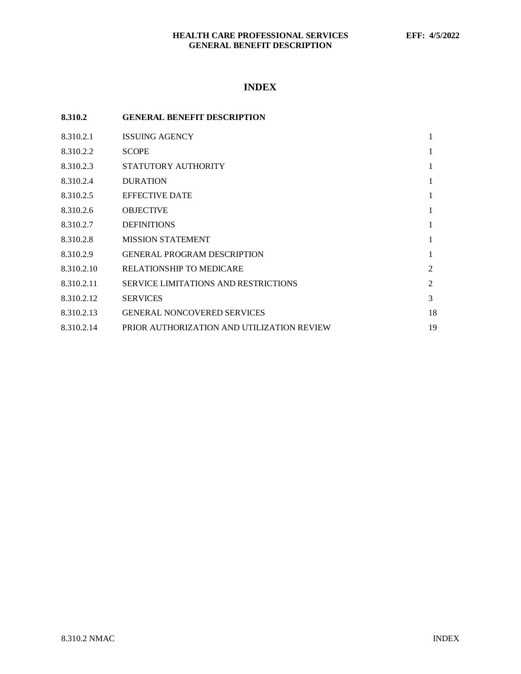# **INDEX**

| 8.310.2    | <b>GENERAL BENEFIT DESCRIPTION</b>          |    |
|------------|---------------------------------------------|----|
| 8.310.2.1  | <b>ISSUING AGENCY</b>                       | 1  |
| 8.310.2.2  | <b>SCOPE</b>                                | 1  |
| 8.310.2.3  | STATUTORY AUTHORITY                         | 1  |
| 8.310.2.4  | <b>DURATION</b>                             | 1  |
| 8.310.2.5  | <b>EFFECTIVE DATE</b>                       | 1  |
| 8.310.2.6  | <b>OBJECTIVE</b>                            | 1  |
| 8.310.2.7  | <b>DEFINITIONS</b>                          | 1  |
| 8.310.2.8  | <b>MISSION STATEMENT</b>                    | 1  |
| 8.310.2.9  | <b>GENERAL PROGRAM DESCRIPTION</b>          | 1  |
| 8.310.2.10 | <b>RELATIONSHIP TO MEDICARE</b>             | 2  |
| 8.310.2.11 | <b>SERVICE LIMITATIONS AND RESTRICTIONS</b> | 2  |
| 8.310.2.12 | <b>SERVICES</b>                             | 3  |
| 8.310.2.13 | <b>GENERAL NONCOVERED SERVICES</b>          | 18 |
| 8.310.2.14 | PRIOR AUTHORIZATION AND UTILIZATION REVIEW  | 19 |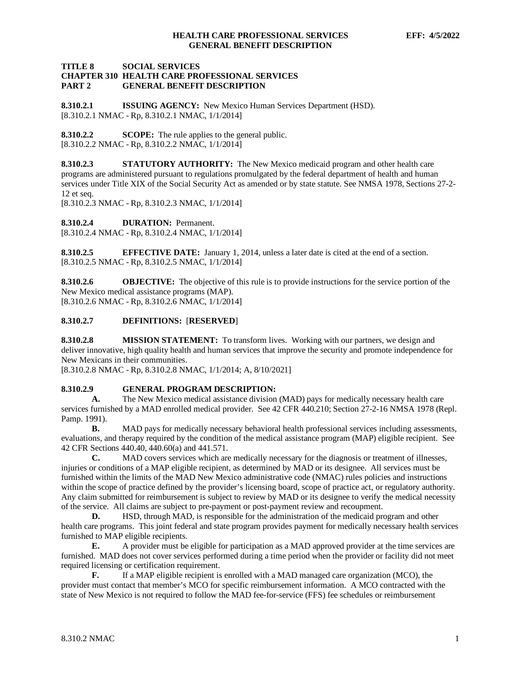## **TITLE 8 SOCIAL SERVICES CHAPTER 310 HEALTH CARE PROFESSIONAL SERVICES GENERAL BENEFIT DESCRIPTION**

<span id="page-1-0"></span>**8.310.2.1 ISSUING AGENCY:** New Mexico Human Services Department (HSD). [8.310.2.1 NMAC - Rp, 8.310.2.1 NMAC, 1/1/2014]

<span id="page-1-1"></span>**8.310.2.2 SCOPE:** The rule applies to the general public. [8.310.2.2 NMAC - Rp, 8.310.2.2 NMAC, 1/1/2014]

<span id="page-1-2"></span>**8.310.2.3 STATUTORY AUTHORITY:** The New Mexico medicaid program and other health care programs are administered pursuant to regulations promulgated by the federal department of health and human services under Title XIX of the Social Security Act as amended or by state statute. See NMSA 1978, Sections 27-2- 12 et seq.

[8.310.2.3 NMAC - Rp, 8.310.2.3 NMAC, 1/1/2014]

<span id="page-1-3"></span>**8.310.2.4 DURATION:** Permanent.

[8.310.2.4 NMAC - Rp, 8.310.2.4 NMAC, 1/1/2014]

<span id="page-1-4"></span>**8.310.2.5 EFFECTIVE DATE:** January 1, 2014, unless a later date is cited at the end of a section. [8.310.2.5 NMAC - Rp, 8.310.2.5 NMAC, 1/1/2014]

<span id="page-1-5"></span>**8.310.2.6 OBJECTIVE:** The objective of this rule is to provide instructions for the service portion of the New Mexico medical assistance programs (MAP). [8.310.2.6 NMAC - Rp, 8.310.2.6 NMAC, 1/1/2014]

## <span id="page-1-6"></span>**8.310.2.7 DEFINITIONS:** [**RESERVED**]

<span id="page-1-7"></span>**8.310.2.8 MISSION STATEMENT:** To transform lives. Working with our partners, we design and deliver innovative, high quality health and human services that improve the security and promote independence for New Mexicans in their communities.

[8.310.2.8 NMAC - Rp, 8.310.2.8 NMAC, 1/1/2014; A, 8/10/2021]

## <span id="page-1-8"></span>**8.310.2.9 GENERAL PROGRAM DESCRIPTION:**

**A.** The New Mexico medical assistance division (MAD) pays for medically necessary health care services furnished by a MAD enrolled medical provider. See 42 CFR 440.210; Section 27-2-16 NMSA 1978 (Repl. Pamp. 1991).

**B.** MAD pays for medically necessary behavioral health professional services including assessments, evaluations, and therapy required by the condition of the medical assistance program (MAP) eligible recipient. See 42 CFR Sections 440.40, 440.60(a) and 441.571.

**C.** MAD covers services which are medically necessary for the diagnosis or treatment of illnesses, injuries or conditions of a MAP eligible recipient, as determined by MAD or its designee. All services must be furnished within the limits of the MAD New Mexico administrative code (NMAC) rules policies and instructions within the scope of practice defined by the provider's licensing board, scope of practice act, or regulatory authority. Any claim submitted for reimbursement is subject to review by MAD or its designee to verify the medical necessity of the service. All claims are subject to pre-payment or post-payment review and recoupment.

**D.** HSD, through MAD, is responsible for the administration of the medicaid program and other health care programs. This joint federal and state program provides payment for medically necessary health services furnished to MAP eligible recipients.

**E.** A provider must be eligible for participation as a MAD approved provider at the time services are furnished. MAD does not cover services performed during a time period when the provider or facility did not meet required licensing or certification requirement.

**F.** If a MAP eligible recipient is enrolled with a MAD managed care organization (MCO), the provider must contact that member's MCO for specific reimbursement information. A MCO contracted with the state of New Mexico is not required to follow the MAD fee-for-service (FFS) fee schedules or reimbursement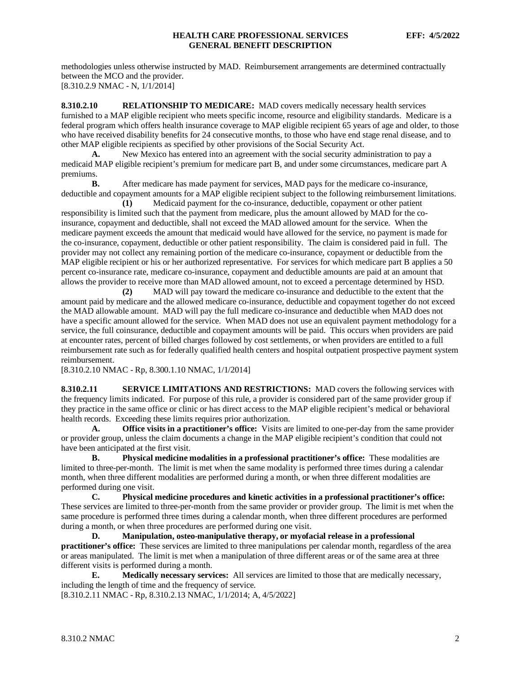methodologies unless otherwise instructed by MAD. Reimbursement arrangements are determined contractually between the MCO and the provider. [8.310.2.9 NMAC - N, 1/1/2014]

<span id="page-2-0"></span>**8.310.2.10 RELATIONSHIP TO MEDICARE:** MAD covers medically necessary health services furnished to a MAP eligible recipient who meets specific income, resource and eligibility standards. Medicare is a federal program which offers health insurance coverage to MAP eligible recipient 65 years of age and older, to those who have received disability benefits for 24 consecutive months, to those who have end stage renal disease, and to other MAP eligible recipients as specified by other provisions of the Social Security Act.

**A.** New Mexico has entered into an agreement with the social security administration to pay a medicaid MAP eligible recipient's premium for medicare part B, and under some circumstances, medicare part A premiums.<br>**B.** 

**B.** After medicare has made payment for services, MAD pays for the medicare co-insurance, deductible and copayment amounts for a MAP eligible recipient subject to the following reimbursement limitations.

**(1)** Medicaid payment for the co-insurance, deductible, copayment or other patient responsibility is limited such that the payment from medicare, plus the amount allowed by MAD for the coinsurance, copayment and deductible, shall not exceed the MAD allowed amount for the service. When the medicare payment exceeds the amount that medicaid would have allowed for the service, no payment is made for the co-insurance, copayment, deductible or other patient responsibility. The claim is considered paid in full. The provider may not collect any remaining portion of the medicare co-insurance, copayment or deductible from the MAP eligible recipient or his or her authorized representative. For services for which medicare part B applies a 50 percent co-insurance rate, medicare co-insurance, copayment and deductible amounts are paid at an amount that allows the provider to receive more than MAD allowed amount, not to exceed a percentage determined by HSD.<br>(2) MAD will pay toward the medicare co-insurance and deductible to the extent that the

**(2)** MAD will pay toward the medicare co-insurance and deductible to the extent that the amount paid by medicare and the allowed medicare co-insurance, deductible and copayment together do not exceed the MAD allowable amount. MAD will pay the full medicare co-insurance and deductible when MAD does not have a specific amount allowed for the service. When MAD does not use an equivalent payment methodology for a service, the full coinsurance, deductible and copayment amounts will be paid. This occurs when providers are paid at encounter rates, percent of billed charges followed by cost settlements, or when providers are entitled to a full reimbursement rate such as for federally qualified health centers and hospital outpatient prospective payment system reimbursement.

[8.310.2.10 NMAC - Rp, 8.300.1.10 NMAC, 1/1/2014]

<span id="page-2-1"></span>**8.310.2.11 SERVICE LIMITATIONS AND RESTRICTIONS:** MAD covers the following services with the frequency limits indicated. For purpose of this rule, a provider is considered part of the same provider group if they practice in the same office or clinic or has direct access to the MAP eligible recipient's medical or behavioral health records. Exceeding these limits requires prior authorization.

**A. Office visits in a practitioner's office:** Visits are limited to one-per-day from the same provider or provider group, unless the claim documents a change in the MAP eligible recipient's condition that could not have been anticipated at the first visit.

**B. Physical medicine modalities in a professional practitioner's office:** These modalities are limited to three-per-month. The limit is met when the same modality is performed three times during a calendar month, when three different modalities are performed during a month, or when three different modalities are performed during one visit.

**C. Physical medicine procedures and kinetic activities in a professional practitioner's office:**  These services are limited to three-per-month from the same provider or provider group. The limit is met when the same procedure is performed three times during a calendar month, when three different procedures are performed during a month, or when three procedures are performed during one visit.

**D. Manipulation, osteo-manipulative therapy, or myofacial release in a professional practitioner's office:** These services are limited to three manipulations per calendar month, regardless of the area or areas manipulated. The limit is met when a manipulation of three different areas or of the same area at three different visits is performed during a month.

**E. Medically necessary services:** All services are limited to those that are medically necessary, including the length of time and the frequency of service.

[8.310.2.11 NMAC - Rp, 8.310.2.13 NMAC, 1/1/2014; A, 4/5/2022]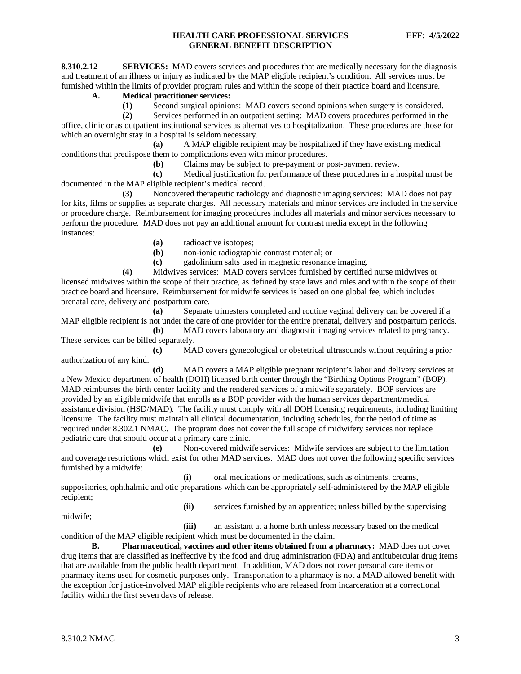<span id="page-3-0"></span>**8.310.2.12 SERVICES:** MAD covers services and procedures that are medically necessary for the diagnosis and treatment of an illness or injury as indicated by the MAP eligible recipient's condition. All services must be furnished within the limits of provider program rules and within the scope of their practice board and licensure.

## **A. Medical practitioner services:**

**(1)** Second surgical opinions: MAD covers second opinions when surgery is considered.

**(2)** Services performed in an outpatient setting: MAD covers procedures performed in the office, clinic or as outpatient institutional services as alternatives to hospitalization. These procedures are those for

which an overnight stay in a hospital is seldom necessary.<br>(a) A MAP eligible recipi **(a)** A MAP eligible recipient may be hospitalized if they have existing medical conditions that predispose them to complications even with minor procedures.

**(b)** Claims may be subject to pre-payment or post-payment review.

**(c)** Medical justification for performance of these procedures in a hospital must be documented in the MAP eligible recipient's medical record.

**(3)** Noncovered therapeutic radiology and diagnostic imaging services: MAD does not pay for kits, films or supplies as separate charges. All necessary materials and minor services are included in the service or procedure charge. Reimbursement for imaging procedures includes all materials and minor services necessary to perform the procedure. MAD does not pay an additional amount for contrast media except in the following instances:

**(a)** radioactive isotopes;

**(b)** non-ionic radiographic contrast material; or

**(c)** gadolinium salts used in magnetic resonance imaging.

**(4)** Midwives services: MAD covers services furnished by certified nurse midwives or licensed midwives within the scope of their practice, as defined by state laws and rules and within the scope of their practice board and licensure. Reimbursement for midwife services is based on one global fee, which includes prenatal care, delivery and postpartum care.

**(a)** Separate trimesters completed and routine vaginal delivery can be covered if a MAP eligible recipient is not under the care of one provider for the entire prenatal, delivery and postpartum periods.

**(b)** MAD covers laboratory and diagnostic imaging services related to pregnancy. These services can be billed separately.

**(c)** MAD covers gynecological or obstetrical ultrasounds without requiring a prior authorization of any kind.

**(d)** MAD covers a MAP eligible pregnant recipient's labor and delivery services at a New Mexico department of health (DOH) licensed birth center through the "Birthing Options Program" (BOP). MAD reimburses the birth center facility and the rendered services of a midwife separately. BOP services are provided by an eligible midwife that enrolls as a BOP provider with the human services department/medical assistance division (HSD/MAD). The facility must comply with all DOH licensing requirements, including limiting licensure. The facility must maintain all clinical documentation, including schedules, for the period of time as required under 8.302.1 NMAC. The program does not cover the full scope of midwifery services nor replace pediatric care that should occur at a primary care clinic.

**(e)** Non-covered midwife services: Midwife services are subject to the limitation and coverage restrictions which exist for other MAD services. MAD does not cover the following specific services furnished by a midwife:

**(i)** oral medications or medications, such as ointments, creams, suppositories, ophthalmic and otic preparations which can be appropriately self-administered by the MAP eligible recipient;

midwife;

**(ii)** services furnished by an apprentice; unless billed by the supervising

**(iii)** an assistant at a home birth unless necessary based on the medical condition of the MAP eligible recipient which must be documented in the claim.

**B. Pharmaceutical, vaccines and other items obtained from a pharmacy:** MAD does not cover drug items that are classified as ineffective by the food and drug administration (FDA) and antitubercular drug items that are available from the public health department. In addition, MAD does not cover personal care items or pharmacy items used for cosmetic purposes only. Transportation to a pharmacy is not a MAD allowed benefit with the exception for justice-involved MAP eligible recipients who are released from incarceration at a correctional facility within the first seven days of release.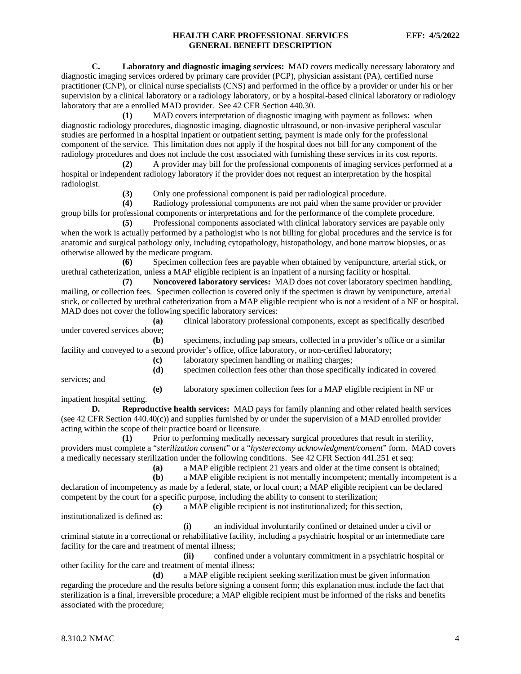**C. Laboratory and diagnostic imaging services:** MAD covers medically necessary laboratory and diagnostic imaging services ordered by primary care provider (PCP), physician assistant (PA), certified nurse practitioner (CNP), or clinical nurse specialists (CNS) and performed in the office by a provider or under his or her supervision by a clinical laboratory or a radiology laboratory, or by a hospital-based clinical laboratory or radiology laboratory that are a enrolled MAD provider. See 42 CFR Section 440.30.

**(1)** MAD covers interpretation of diagnostic imaging with payment as follows: when diagnostic radiology procedures, diagnostic imaging, diagnostic ultrasound, or non-invasive peripheral vascular studies are performed in a hospital inpatient or outpatient setting, payment is made only for the professional component of the service. This limitation does not apply if the hospital does not bill for any component of the radiology procedures and does not include the cost associated with furnishing these services in its cost reports.

**(2)** A provider may bill for the professional components of imaging services performed at a hospital or independent radiology laboratory if the provider does not request an interpretation by the hospital radiologist.

**(3)** Only one professional component is paid per radiological procedure.

**(4)** Radiology professional components are not paid when the same provider or provider group bills for professional components or interpretations and for the performance of the complete procedure.

**(5)** Professional components associated with clinical laboratory services are payable only when the work is actually performed by a pathologist who is not billing for global procedures and the service is for anatomic and surgical pathology only, including cytopathology, histopathology, and bone marrow biopsies, or as otherwise allowed by the medicare program.

**(6)** Specimen collection fees are payable when obtained by venipuncture, arterial stick, or urethral catheterization, unless a MAP eligible recipient is an inpatient of a nursing facility or hospital.

**(7) Noncovered laboratory services:** MAD does not cover laboratory specimen handling, mailing, or collection fees. Specimen collection is covered only if the specimen is drawn by venipuncture, arterial stick, or collected by urethral catheterization from a MAP eligible recipient who is not a resident of a NF or hospital. MAD does not cover the following specific laboratory services:

**(a)** clinical laboratory professional components, except as specifically described under covered services above;

**(b)** specimens, including pap smears, collected in a provider's office or a similar facility and conveyed to a second provider's office, office laboratory, or non-certified laboratory;

**(c)** laboratory specimen handling or mailing charges;

services; and

**(e)** laboratory specimen collection fees for a MAP eligible recipient in NF or

**(d)** specimen collection fees other than those specifically indicated in covered

inpatient hospital setting.

**D. Reproductive health services:** MAD pays for family planning and other related health services (see 42 CFR Section 440.40(c)) and supplies furnished by or under the supervision of a MAD enrolled provider acting within the scope of their practice board or licensure.

**(1)** Prior to performing medically necessary surgical procedures that result in sterility, providers must complete a "*sterilization consent*" or a "*hysterectomy acknowledgment/consent*" form. MAD covers a medically necessary sterilization under the following conditions. See 42 CFR Section 441.251 et seq:

**(a)** a MAP eligible recipient 21 years and older at the time consent is obtained;

a MAP eligible recipient is not mentally incompetent; mentally incompetent is a declaration of incompetency as made by a federal, state, or local court; a MAP eligible recipient can be declared competent by the court for a specific purpose, including the ability to consent to sterilization;

**(c)** a MAP eligible recipient is not institutionalized; for this section,

institutionalized is defined as:

**(i)** an individual involuntarily confined or detained under a civil or criminal statute in a correctional or rehabilitative facility, including a psychiatric hospital or an intermediate care facility for the care and treatment of mental illness;

**(ii)** confined under a voluntary commitment in a psychiatric hospital or other facility for the care and treatment of mental illness;

**(d)** a MAP eligible recipient seeking sterilization must be given information regarding the procedure and the results before signing a consent form; this explanation must include the fact that sterilization is a final, irreversible procedure; a MAP eligible recipient must be informed of the risks and benefits associated with the procedure;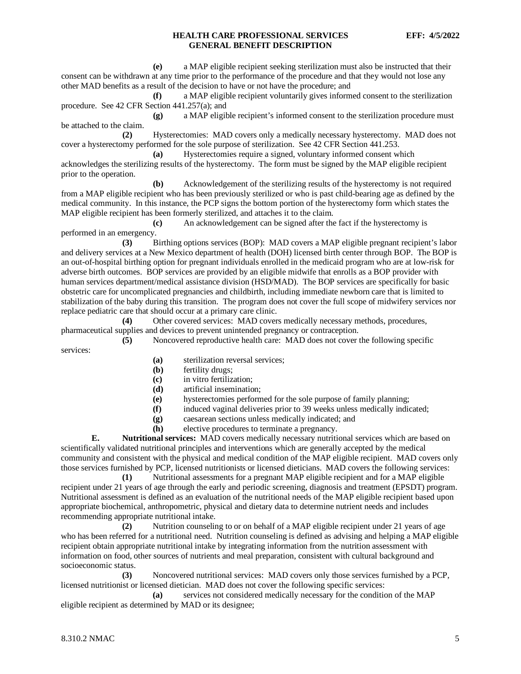**(e)** a MAP eligible recipient seeking sterilization must also be instructed that their consent can be withdrawn at any time prior to the performance of the procedure and that they would not lose any other MAD benefits as a result of the decision to have or not have the procedure; and

**(f)** a MAP eligible recipient voluntarily gives informed consent to the sterilization procedure. See 42 CFR Section 441.257(a); and

**(g)** a MAP eligible recipient's informed consent to the sterilization procedure must be attached to the claim.

**(2)** Hysterectomies: MAD covers only a medically necessary hysterectomy. MAD does not cover a hysterectomy performed for the sole purpose of sterilization. See 42 CFR Section 441.253.

**(a)** Hysterectomies require a signed, voluntary informed consent which acknowledges the sterilizing results of the hysterectomy. The form must be signed by the MAP eligible recipient prior to the operation.

**(b)** Acknowledgement of the sterilizing results of the hysterectomy is not required from a MAP eligible recipient who has been previously sterilized or who is past child-bearing age as defined by the medical community. In this instance, the PCP signs the bottom portion of the hysterectomy form which states the MAP eligible recipient has been formerly sterilized, and attaches it to the claim.

**(c)** An acknowledgement can be signed after the fact if the hysterectomy is performed in an emergency.

**(3)** Birthing options services (BOP): MAD covers a MAP eligible pregnant recipient's labor and delivery services at a New Mexico department of health (DOH) licensed birth center through BOP. The BOP is an out-of-hospital birthing option for pregnant individuals enrolled in the medicaid program who are at low-risk for adverse birth outcomes. BOP services are provided by an eligible midwife that enrolls as a BOP provider with human services department/medical assistance division (HSD/MAD). The BOP services are specifically for basic obstetric care for uncomplicated pregnancies and childbirth, including immediate newborn care that is limited to stabilization of the baby during this transition. The program does not cover the full scope of midwifery services nor replace pediatric care that should occur at a primary care clinic.

**(4)** Other covered services: MAD covers medically necessary methods, procedures, pharmaceutical supplies and devices to prevent unintended pregnancy or contraception.

**(5)** Noncovered reproductive health care: MAD does not cover the following specific services:

- **(a)** sterilization reversal services;
- **(b)** fertility drugs;
- **(c)** in vitro fertilization;
- **(d)** artificial insemination;
- **(e)** hysterectomies performed for the sole purpose of family planning;
- **(f)** induced vaginal deliveries prior to 39 weeks unless medically indicated;
- **(g)** caesarean sections unless medically indicated; and
- **(h)** elective procedures to terminate a pregnancy.

**E. Nutritional services:** MAD covers medically necessary nutritional services which are based on scientifically validated nutritional principles and interventions which are generally accepted by the medical community and consistent with the physical and medical condition of the MAP eligible recipient. MAD covers only those services furnished by PCP, licensed nutritionists or licensed dieticians. MAD covers the following services:

**(1)** Nutritional assessments for a pregnant MAP eligible recipient and for a MAP eligible recipient under 21 years of age through the early and periodic screening, diagnosis and treatment (EPSDT) program. Nutritional assessment is defined as an evaluation of the nutritional needs of the MAP eligible recipient based upon appropriate biochemical, anthropometric, physical and dietary data to determine nutrient needs and includes recommending appropriate nutritional intake.

**(2)** Nutrition counseling to or on behalf of a MAP eligible recipient under 21 years of age who has been referred for a nutritional need. Nutrition counseling is defined as advising and helping a MAP eligible recipient obtain appropriate nutritional intake by integrating information from the nutrition assessment with information on food, other sources of nutrients and meal preparation, consistent with cultural background and socioeconomic status.

**(3)** Noncovered nutritional services: MAD covers only those services furnished by a PCP, licensed nutritionist or licensed dietician. MAD does not cover the following specific services:

**(a)** services not considered medically necessary for the condition of the MAP eligible recipient as determined by MAD or its designee;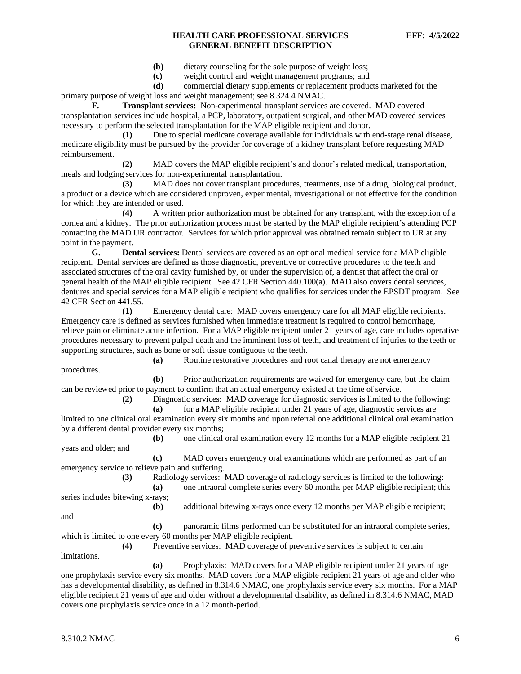- **(b)** dietary counseling for the sole purpose of weight loss;
- **(c)** weight control and weight management programs; and
- **(d)** commercial dietary supplements or replacement products marketed for the

primary purpose of weight loss and weight management; see 8.324.4 NMAC.

**F. Transplant services:** Non-experimental transplant services are covered. MAD covered transplantation services include hospital, a PCP, laboratory, outpatient surgical, and other MAD covered services necessary to perform the selected transplantation for the MAP eligible recipient and donor.

**(1)** Due to special medicare coverage available for individuals with end-stage renal disease, medicare eligibility must be pursued by the provider for coverage of a kidney transplant before requesting MAD reimbursement.

**(2)** MAD covers the MAP eligible recipient's and donor's related medical, transportation, meals and lodging services for non-experimental transplantation.

**(3)** MAD does not cover transplant procedures, treatments, use of a drug, biological product, a product or a device which are considered unproven, experimental, investigational or not effective for the condition for which they are intended or used.

**(4)** A written prior authorization must be obtained for any transplant, with the exception of a cornea and a kidney. The prior authorization process must be started by the MAP eligible recipient's attending PCP contacting the MAD UR contractor. Services for which prior approval was obtained remain subject to UR at any point in the payment.

**G. Dental services:** Dental services are covered as an optional medical service for a MAP eligible recipient. Dental services are defined as those diagnostic, preventive or corrective procedures to the teeth and associated structures of the oral cavity furnished by, or under the supervision of, a dentist that affect the oral or general health of the MAP eligible recipient. See 42 CFR Section 440.100(a). MAD also covers dental services, dentures and special services for a MAP eligible recipient who qualifies for services under the EPSDT program. See 42 CFR Section 441.55.

**(1)** Emergency dental care: MAD covers emergency care for all MAP eligible recipients. Emergency care is defined as services furnished when immediate treatment is required to control hemorrhage, relieve pain or eliminate acute infection. For a MAP eligible recipient under 21 years of age, care includes operative procedures necessary to prevent pulpal death and the imminent loss of teeth, and treatment of injuries to the teeth or supporting structures, such as bone or soft tissue contiguous to the teeth.

procedures.

**(a)** Routine restorative procedures and root canal therapy are not emergency

**(b)** Prior authorization requirements are waived for emergency care, but the claim can be reviewed prior to payment to confirm that an actual emergency existed at the time of service.

**(2)** Diagnostic services: MAD coverage for diagnostic services is limited to the following: **(a)** for a MAP eligible recipient under 21 years of age, diagnostic services are

limited to one clinical oral examination every six months and upon referral one additional clinical oral examination by a different dental provider every six months;

**(b)** one clinical oral examination every 12 months for a MAP eligible recipient 21 years and older; and

**(c)** MAD covers emergency oral examinations which are performed as part of an emergency service to relieve pain and suffering.

**(3)** Radiology services: MAD coverage of radiology services is limited to the following:

**(b)** additional bitewing x-rays once every 12 months per MAP eligible recipient;

**(a)** one intraoral complete series every 60 months per MAP eligible recipient; this series includes bitewing x-rays;

and

**(c)** panoramic films performed can be substituted for an intraoral complete series, which is limited to one every 60 months per MAP eligible recipient.

**(4)** Preventive services: MAD coverage of preventive services is subject to certain limitations.

**(a)** Prophylaxis: MAD covers for a MAP eligible recipient under 21 years of age one prophylaxis service every six months. MAD covers for a MAP eligible recipient 21 years of age and older who has a developmental disability, as defined in 8.314.6 NMAC, one prophylaxis service every six months. For a MAP eligible recipient 21 years of age and older without a developmental disability, as defined in 8.314.6 NMAC, MAD covers one prophylaxis service once in a 12 month-period.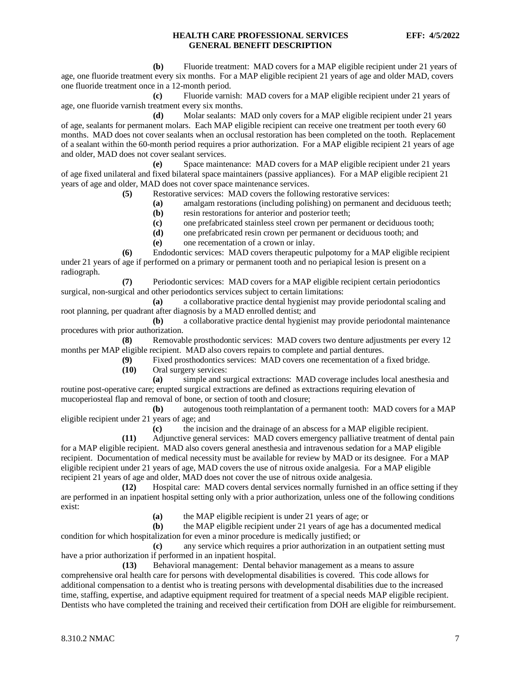**(b)** Fluoride treatment: MAD covers for a MAP eligible recipient under 21 years of age, one fluoride treatment every six months. For a MAP eligible recipient 21 years of age and older MAD, covers one fluoride treatment once in a 12-month period.

**(c)** Fluoride varnish: MAD covers for a MAP eligible recipient under 21 years of age, one fluoride varnish treatment every six months.

**(d)** Molar sealants: MAD only covers for a MAP eligible recipient under 21 years of age, sealants for permanent molars. Each MAP eligible recipient can receive one treatment per tooth every 60 months. MAD does not cover sealants when an occlusal restoration has been completed on the tooth. Replacement of a sealant within the 60-month period requires a prior authorization. For a MAP eligible recipient 21 years of age and older, MAD does not cover sealant services.

**(e)** Space maintenance: MAD covers for a MAP eligible recipient under 21 years of age fixed unilateral and fixed bilateral space maintainers (passive appliances). For a MAP eligible recipient 21 years of age and older, MAD does not cover space maintenance services.

**(5)** Restorative services: MAD covers the following restorative services:

**(a)** amalgam restorations (including polishing) on permanent and deciduous teeth;

- **(b)** resin restorations for anterior and posterior teeth;
- **(c)** one prefabricated stainless steel crown per permanent or deciduous tooth;

**(d)** one prefabricated resin crown per permanent or deciduous tooth; and

**(e)** one recementation of a crown or inlay.

**(6)** Endodontic services: MAD covers therapeutic pulpotomy for a MAP eligible recipient under 21 years of age if performed on a primary or permanent tooth and no periapical lesion is present on a radiograph.

**(7)** Periodontic services: MAD covers for a MAP eligible recipient certain periodontics surgical, non-surgical and other periodontics services subject to certain limitations:

**(a)** a collaborative practice dental hygienist may provide periodontal scaling and root planning, per quadrant after diagnosis by a MAD enrolled dentist; and

**(b)** a collaborative practice dental hygienist may provide periodontal maintenance procedures with prior authorization.

**(8)** Removable prosthodontic services: MAD covers two denture adjustments per every 12 months per MAP eligible recipient. MAD also covers repairs to complete and partial dentures.<br>(9) Fixed prosthodontics services: MAD covers one recementation of a

Fixed prosthodontics services: MAD covers one recementation of a fixed bridge.

**(10)** Oral surgery services:

**(a)** simple and surgical extractions: MAD coverage includes local anesthesia and routine post-operative care; erupted surgical extractions are defined as extractions requiring elevation of mucoperiosteal flap and removal of bone, or section of tooth and closure;

**(b)** autogenous tooth reimplantation of a permanent tooth: MAD covers for a MAP eligible recipient under 21 years of age; and

**(c)** the incision and the drainage of an abscess for a MAP eligible recipient.

**(11)** Adjunctive general services: MAD covers emergency palliative treatment of dental pain for a MAP eligible recipient. MAD also covers general anesthesia and intravenous sedation for a MAP eligible recipient. Documentation of medical necessity must be available for review by MAD or its designee. For a MAP eligible recipient under 21 years of age, MAD covers the use of nitrous oxide analgesia. For a MAP eligible recipient 21 years of age and older, MAD does not cover the use of nitrous oxide analgesia.

**(12)** Hospital care: MAD covers dental services normally furnished in an office setting if they are performed in an inpatient hospital setting only with a prior authorization, unless one of the following conditions exist:

**(a)** the MAP eligible recipient is under 21 years of age; or

**(b)** the MAP eligible recipient under 21 years of age has a documented medical condition for which hospitalization for even a minor procedure is medically justified; or

**(c)** any service which requires a prior authorization in an outpatient setting must have a prior authorization if performed in an inpatient hospital.

**(13)** Behavioral management:Dental behavior management as a means to assure comprehensive oral health care for persons with developmental disabilities is covered. This code allows for additional compensation to a dentist who is treating persons with developmental disabilities due to the increased time, staffing, expertise, and adaptive equipment required for treatment of a special needs MAP eligible recipient. Dentists who have completed the training and received their certification from DOH are eligible for reimbursement.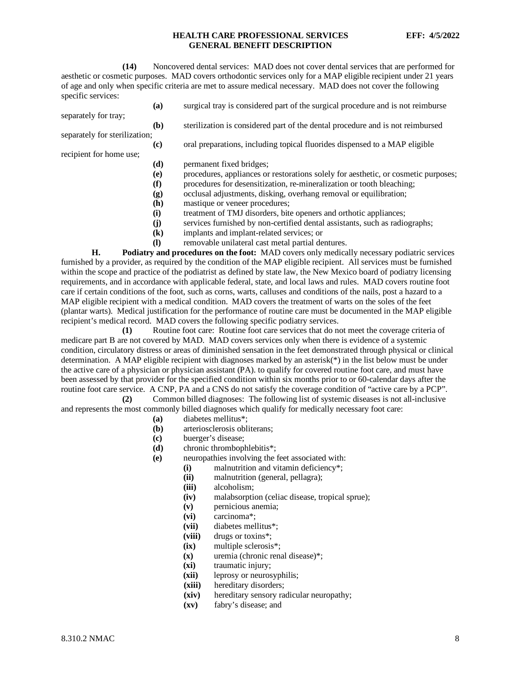**(14)** Noncovered dental services: MAD does not cover dental services that are performed for aesthetic or cosmetic purposes. MAD covers orthodontic services only for a MAP eligible recipient under 21 years of age and only when specific criteria are met to assure medical necessary. MAD does not cover the following specific services:

- **(a)** surgical tray is considered part of the surgical procedure and is not reimburse
- **(b)** sterilization is considered part of the dental procedure and is not reimbursed
- separately for sterilization; **(c)** oral preparations, including topical fluorides dispensed to a MAP eligible
- recipient for home use;

separately for tray;

- **(d)** permanent fixed bridges;
- **(e)** procedures, appliances or restorations solely for aesthetic, or cosmetic purposes;
- **(f)** procedures for desensitization, re-mineralization or tooth bleaching;
- **(g)** occlusal adjustments, disking, overhang removal or equilibration;
- **(h)** mastique or veneer procedures;
- **(i)** treatment of TMJ disorders, bite openers and orthotic appliances;
- **(j)** services furnished by non-certified dental assistants, such as radiographs;
- **(k)** implants and implant-related services; or
- **(l)** removable unilateral cast metal partial dentures.

**H. Podiatry and procedures on the foot:** MAD covers only medically necessary podiatric services furnished by a provider, as required by the condition of the MAP eligible recipient. All services must be furnished within the scope and practice of the podiatrist as defined by state law, the New Mexico board of podiatry licensing requirements, and in accordance with applicable federal, state, and local laws and rules. MAD covers routine foot care if certain conditions of the foot, such as corns, warts, calluses and conditions of the nails, post a hazard to a MAP eligible recipient with a medical condition. MAD covers the treatment of warts on the soles of the feet (plantar warts). Medical justification for the performance of routine care must be documented in the MAP eligible recipient's medical record. MAD covers the following specific podiatry services.

**(1)** Routine foot care: Routine foot care services that do not meet the coverage criteria of medicare part B are not covered by MAD. MAD covers services only when there is evidence of a systemic condition, circulatory distress or areas of diminished sensation in the feet demonstrated through physical or clinical determination. A MAP eligible recipient with diagnoses marked by an asterisk(\*) in the list below must be under the active care of a physician or physician assistant (PA). to qualify for covered routine foot care, and must have been assessed by that provider for the specified condition within six months prior to or 60-calendar days after the routine foot care service. A CNP, PA and a CNS do not satisfy the coverage condition of "active care by a PCP".

**(2)** Common billed diagnoses: The following list of systemic diseases is not all-inclusive and represents the most commonly billed diagnoses which qualify for medically necessary foot care:

- **(a)** diabetes mellitus\*;
- **(b)** arteriosclerosis obliterans;
- **(c)** buerger's disease;
- **(d)** chronic thrombophlebitis\*;
- **(e)** neuropathies involving the feet associated with:
	- (i) malnutrition and vitamin deficiency<sup>\*</sup>;<br>(ii) malnutrition (general, pellagra);
		- malnutrition (general, pellagra);
		- **(iii)** alcoholism;
		- **(iv)** malabsorption (celiac disease, tropical sprue);
		- **(v)** pernicious anemia;
		- **(vi)** carcinoma\*;
		- **(vii)** diabetes mellitus\*;
	- **(viii)** drugs or toxins\*;
	- **(ix)** multiple sclerosis\*;
	- **(x)** uremia (chronic renal disease)\*;
	- **(xi)** traumatic injury;
	- **(xii)** leprosy or neurosyphilis;
	- hereditary disorders;
	- **(xiv)** hereditary sensory radicular neuropathy;
	- **(xv)** fabry's disease; and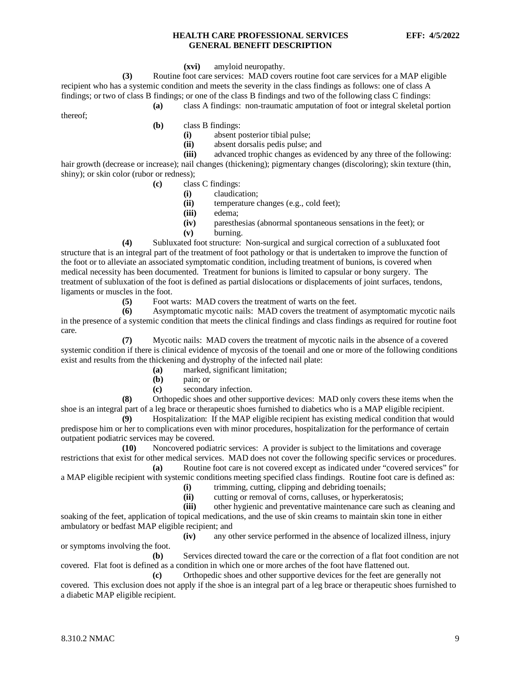#### **(xvi)** amyloid neuropathy.

**(3)** Routine foot care services: MAD covers routine foot care services for a MAP eligible recipient who has a systemic condition and meets the severity in the class findings as follows: one of class A findings; or two of class B findings; or one of the class B findings and two of the following class C findings:

**(a)** class A findings: non-traumatic amputation of foot or integral skeletal portion

thereof;

**(b)** class B findings:

- (i) absent posterior tibial pulse;<br>(ii) absent dorsalis pedis pulse: a
- **(ii)** absent dorsalis pedis pulse; and<br>**(iii)** advanced trophic changes as evi

advanced trophic changes as evidenced by any three of the following: hair growth (decrease or increase); nail changes (thickening); pigmentary changes (discoloring); skin texture (thin, shiny); or skin color (rubor or redness);

- **(c)** class C findings:
	- **(i)** claudication;
		- **(ii)** temperature changes (e.g., cold feet);
		- **(iii)** edema;
		- **(iv)** paresthesias (abnormal spontaneous sensations in the feet); or
		- **(v)** burning.

**(4)** Subluxated foot structure: Non-surgical and surgical correction of a subluxated foot structure that is an integral part of the treatment of foot pathology or that is undertaken to improve the function of the foot or to alleviate an associated symptomatic condition, including treatment of bunions, is covered when medical necessity has been documented. Treatment for bunions is limited to capsular or bony surgery. The treatment of subluxation of the foot is defined as partial dislocations or displacements of joint surfaces, tendons, ligaments or muscles in the foot.

**(5)** Foot warts: MAD covers the treatment of warts on the feet.<br>**(6)** Asymptomatic mycotic nails: MAD covers the treatment of **(6)** Asymptomatic mycotic nails: MAD covers the treatment of asymptomatic mycotic nails in the presence of a systemic condition that meets the clinical findings and class findings as required for routine foot care.

**(7)** Mycotic nails: MAD covers the treatment of mycotic nails in the absence of a covered systemic condition if there is clinical evidence of mycosis of the toenail and one or more of the following conditions exist and results from the thickening and dystrophy of the infected nail plate:

- **(a)** marked, significant limitation;
- **(b)** pain; or
- **(c)** secondary infection.

**(8)** Orthopedic shoes and other supportive devices: MAD only covers these items when the shoe is an integral part of a leg brace or therapeutic shoes furnished to diabetics who is a MAP eligible recipient.

**(9)** Hospitalization: If the MAP eligible recipient has existing medical condition that would predispose him or her to complications even with minor procedures, hospitalization for the performance of certain outpatient podiatric services may be covered.

**(10)** Noncovered podiatric services: A provider is subject to the limitations and coverage restrictions that exist for other medical services. MAD does not cover the following specific services or procedures.

**(a)** Routine foot care is not covered except as indicated under "covered services" for a MAP eligible recipient with systemic conditions meeting specified class findings. Routine foot care is defined as:

- **(i)** trimming, cutting, clipping and debriding toenails;
- **(ii)** cutting or removal of corns, calluses, or hyperkeratosis;

**(iii)** other hygienic and preventative maintenance care such as cleaning and soaking of the feet, application of topical medications, and the use of skin creams to maintain skin tone in either ambulatory or bedfast MAP eligible recipient; and

**(iv)** any other service performed in the absence of localized illness, injury or symptoms involving the foot.

**(b)** Services directed toward the care or the correction of a flat foot condition are not covered. Flat foot is defined as a condition in which one or more arches of the foot have flattened out.

**(c)** Orthopedic shoes and other supportive devices for the feet are generally not covered. This exclusion does not apply if the shoe is an integral part of a leg brace or therapeutic shoes furnished to a diabetic MAP eligible recipient.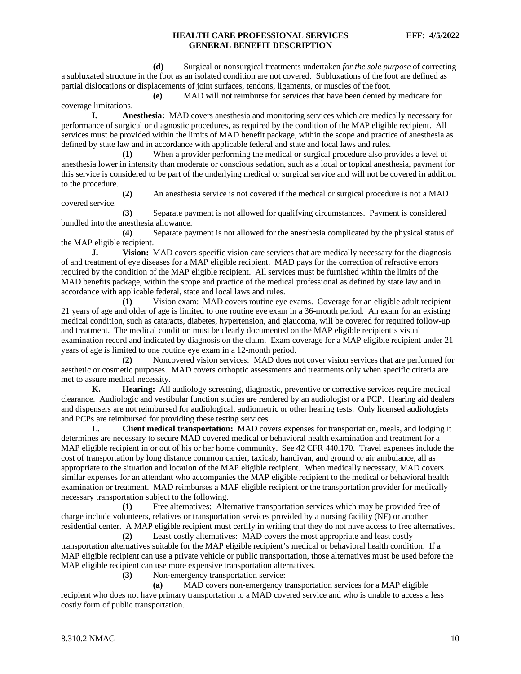**(d)** Surgical or nonsurgical treatments undertaken *for the sole purpose* of correcting a subluxated structure in the foot as an isolated condition are not covered. Subluxations of the foot are defined as partial dislocations or displacements of joint surfaces, tendons, ligaments, or muscles of the foot.

**(e)** MAD will not reimburse for services that have been denied by medicare for coverage limitations.

**I. Anesthesia:** MAD covers anesthesia and monitoring services which are medically necessary for performance of surgical or diagnostic procedures, as required by the condition of the MAP eligible recipient. All services must be provided within the limits of MAD benefit package, within the scope and practice of anesthesia as defined by state law and in accordance with applicable federal and state and local laws and rules.

**(1)** When a provider performing the medical or surgical procedure also provides a level of anesthesia lower in intensity than moderate or conscious sedation, such as a local or topical anesthesia, payment for this service is considered to be part of the underlying medical or surgical service and will not be covered in addition to the procedure.

**(2)** An anesthesia service is not covered if the medical or surgical procedure is not a MAD covered service.

**(3)** Separate payment is not allowed for qualifying circumstances. Payment is considered bundled into the anesthesia allowance.

**(4)** Separate payment is not allowed for the anesthesia complicated by the physical status of the MAP eligible recipient.

**J. Vision:** MAD covers specific vision care services that are medically necessary for the diagnosis of and treatment of eye diseases for a MAP eligible recipient. MAD pays for the correction of refractive errors required by the condition of the MAP eligible recipient. All services must be furnished within the limits of the MAD benefits package, within the scope and practice of the medical professional as defined by state law and in accordance with applicable federal, state and local laws and rules.

**(1)** Vision exam: MAD covers routine eye exams. Coverage for an eligible adult recipient 21 years of age and older of age is limited to one routine eye exam in a 36-month period. An exam for an existing medical condition, such as cataracts, diabetes, hypertension, and glaucoma, will be covered for required follow-up and treatment. The medical condition must be clearly documented on the MAP eligible recipient's visual examination record and indicated by diagnosis on the claim. Exam coverage for a MAP eligible recipient under 21 years of age is limited to one routine eye exam in a 12-month period.

**(2)** Noncovered vision services: MAD does not cover vision services that are performed for aesthetic or cosmetic purposes. MAD covers orthoptic assessments and treatments only when specific criteria are met to assure medical necessity.

**K. Hearing:** All audiology screening, diagnostic, preventive or corrective services require medical clearance. Audiologic and vestibular function studies are rendered by an audiologist or a PCP. Hearing aid dealers and dispensers are not reimbursed for audiological, audiometric or other hearing tests. Only licensed audiologists and PCPs are reimbursed for providing these testing services.

**L. Client medical transportation:** MAD covers expenses for transportation, meals, and lodging it determines are necessary to secure MAD covered medical or behavioral health examination and treatment for a MAP eligible recipient in or out of his or her home community. See 42 CFR 440.170. Travel expenses include the cost of transportation by long distance common carrier, taxicab, handivan, and ground or air ambulance, all as appropriate to the situation and location of the MAP eligible recipient. When medically necessary, MAD covers similar expenses for an attendant who accompanies the MAP eligible recipient to the medical or behavioral health examination or treatment. MAD reimburses a MAP eligible recipient or the transportation provider for medically necessary transportation subject to the following.

**(1)** Free alternatives: Alternative transportation services which may be provided free of charge include volunteers, relatives or transportation services provided by a nursing facility (NF) or another residential center. A MAP eligible recipient must certify in writing that they do not have access to free alternatives.

**(2)** Least costly alternatives: MAD covers the most appropriate and least costly transportation alternatives suitable for the MAP eligible recipient's medical or behavioral health condition. If a MAP eligible recipient can use a private vehicle or public transportation, those alternatives must be used before the MAP eligible recipient can use more expensive transportation alternatives.

**(3)** Non-emergency transportation service:

**(a)** MAD covers non-emergency transportation services for a MAP eligible recipient who does not have primary transportation to a MAD covered service and who is unable to access a less costly form of public transportation.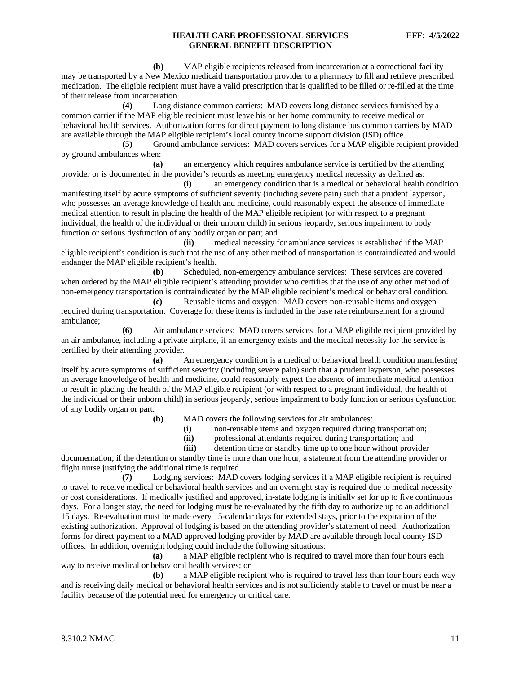**(b)** MAP eligible recipients released from incarceration at a correctional facility may be transported by a New Mexico medicaid transportation provider to a pharmacy to fill and retrieve prescribed medication. The eligible recipient must have a valid prescription that is qualified to be filled or re-filled at the time of their release from incarceration.

**(4)** Long distance common carriers: MAD covers long distance services furnished by a common carrier if the MAP eligible recipient must leave his or her home community to receive medical or behavioral health services. Authorization forms for direct payment to long distance bus common carriers by MAD are available through the MAP eligible recipient's local county income support division (ISD) office.

**(5)** Ground ambulance services: MAD covers services for a MAP eligible recipient provided by ground ambulances when:

**(a)** an emergency which requires ambulance service is certified by the attending provider or is documented in the provider's records as meeting emergency medical necessity as defined as:

**(i)** an emergency condition that is a medical or behavioral health condition manifesting itself by acute symptoms of sufficient severity (including severe pain) such that a prudent layperson, who possesses an average knowledge of health and medicine, could reasonably expect the absence of immediate medical attention to result in placing the health of the MAP eligible recipient (or with respect to a pregnant individual, the health of the individual or their unborn child) in serious jeopardy, serious impairment to body function or serious dysfunction of any bodily organ or part; and

**(ii)** medical necessity for ambulance services is established if the MAP eligible recipient's condition is such that the use of any other method of transportation is contraindicated and would endanger the MAP eligible recipient's health.

**(b)** Scheduled, non-emergency ambulance services: These services are covered when ordered by the MAP eligible recipient's attending provider who certifies that the use of any other method of non-emergency transportation is contraindicated by the MAP eligible recipient's medical or behavioral condition.

**(c)** Reusable items and oxygen: MAD covers non-reusable items and oxygen required during transportation. Coverage for these items is included in the base rate reimbursement for a ground ambulance;

**(6)** Air ambulance services: MAD covers services for a MAP eligible recipient provided by an air ambulance, including a private airplane, if an emergency exists and the medical necessity for the service is certified by their attending provider.

**(a)** An emergency condition is a medical or behavioral health condition manifesting itself by acute symptoms of sufficient severity (including severe pain) such that a prudent layperson, who possesses an average knowledge of health and medicine, could reasonably expect the absence of immediate medical attention to result in placing the health of the MAP eligible recipient (or with respect to a pregnant individual, the health of the individual or their unborn child) in serious jeopardy, serious impairment to body function or serious dysfunction of any bodily organ or part.

- **(b)** MAD covers the following services for air ambulances:
	- **(i)** non-reusable items and oxygen required during transportation;
	- **(ii)** professional attendants required during transportation; and
	- **(iii)** detention time or standby time up to one hour without provider

documentation; if the detention or standby time is more than one hour, a statement from the attending provider or flight nurse justifying the additional time is required.

**(7)** Lodging services: MAD covers lodging services if a MAP eligible recipient is required to travel to receive medical or behavioral health services and an overnight stay is required due to medical necessity or cost considerations. If medically justified and approved, in-state lodging is initially set for up to five continuous days. For a longer stay, the need for lodging must be re-evaluated by the fifth day to authorize up to an additional 15 days. Re-evaluation must be made every 15-calendar days for extended stays, prior to the expiration of the existing authorization. Approval of lodging is based on the attending provider's statement of need. Authorization forms for direct payment to a MAD approved lodging provider by MAD are available through local county ISD offices. In addition, overnight lodging could include the following situations:

**(a)** a MAP eligible recipient who is required to travel more than four hours each way to receive medical or behavioral health services; or

**(b)** a MAP eligible recipient who is required to travel less than four hours each way and is receiving daily medical or behavioral health services and is not sufficiently stable to travel or must be near a facility because of the potential need for emergency or critical care.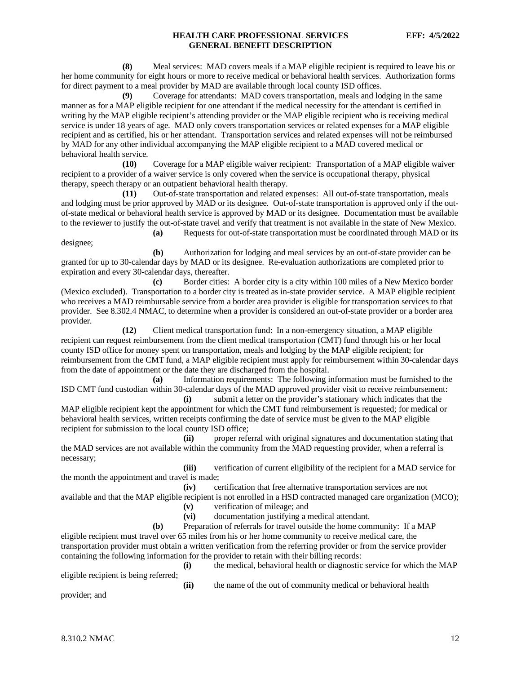**(8)** Meal services: MAD covers meals if a MAP eligible recipient is required to leave his or her home community for eight hours or more to receive medical or behavioral health services. Authorization forms for direct payment to a meal provider by MAD are available through local county ISD offices.

**(9)** Coverage for attendants: MAD covers transportation, meals and lodging in the same manner as for a MAP eligible recipient for one attendant if the medical necessity for the attendant is certified in writing by the MAP eligible recipient's attending provider or the MAP eligible recipient who is receiving medical service is under 18 years of age. MAD only covers transportation services or related expenses for a MAP eligible recipient and as certified, his or her attendant. Transportation services and related expenses will not be reimbursed by MAD for any other individual accompanying the MAP eligible recipient to a MAD covered medical or behavioral health service.

**(10)** Coverage for a MAP eligible waiver recipient: Transportation of a MAP eligible waiver recipient to a provider of a waiver service is only covered when the service is occupational therapy, physical therapy, speech therapy or an outpatient behavioral health therapy.

**(11)** Out-of-state transportation and related expenses: All out-of-state transportation, meals and lodging must be prior approved by MAD or its designee. Out-of-state transportation is approved only if the outof-state medical or behavioral health service is approved by MAD or its designee. Documentation must be available to the reviewer to justify the out-of-state travel and verify that treatment is not available in the state of New Mexico.

**(a)** Requests for out-of-state transportation must be coordinated through MAD or its designee;

**(b)** Authorization for lodging and meal services by an out-of-state provider can be granted for up to 30-calendar days by MAD or its designee. Re-evaluation authorizations are completed prior to expiration and every 30-calendar days, thereafter.

**(c)** Border cities: A border city is a city within 100 miles of a New Mexico border (Mexico excluded). Transportation to a border city is treated as in-state provider service. A MAP eligible recipient who receives a MAD reimbursable service from a border area provider is eligible for transportation services to that provider. See 8.302.4 NMAC, to determine when a provider is considered an out-of-state provider or a border area provider.

**(12)** Client medical transportation fund: In a non-emergency situation, a MAP eligible recipient can request reimbursement from the client medical transportation (CMT) fund through his or her local county ISD office for money spent on transportation, meals and lodging by the MAP eligible recipient; for reimbursement from the CMT fund, a MAP eligible recipient must apply for reimbursement within 30-calendar days from the date of appointment or the date they are discharged from the hospital.

**(a)** Information requirements: The following information must be furnished to the ISD CMT fund custodian within 30-calendar days of the MAD approved provider visit to receive reimbursement:

**(i)** submit a letter on the provider's stationary which indicates that the MAP eligible recipient kept the appointment for which the CMT fund reimbursement is requested; for medical or behavioral health services, written receipts confirming the date of service must be given to the MAP eligible recipient for submission to the local county ISD office;

**(ii)** proper referral with original signatures and documentation stating that the MAD services are not available within the community from the MAD requesting provider, when a referral is necessary;

**(iii)** verification of current eligibility of the recipient for a MAD service for the month the appointment and travel is made;

**(iv)** certification that free alternative transportation services are not available and that the MAP eligible recipient is not enrolled in a HSD contracted managed care organization (MCO);

- **(v)** verification of mileage; and
- **(vi)** documentation justifying a medical attendant.
- **(b)** Preparation of referrals for travel outside the home community: If a MAP

eligible recipient must travel over 65 miles from his or her home community to receive medical care, the transportation provider must obtain a written verification from the referring provider or from the service provider containing the following information for the provider to retain with their billing records:

eligible recipient is being referred;

**(i)** the medical, behavioral health or diagnostic service for which the MAP

**(ii)** the name of the out of community medical or behavioral health

provider; and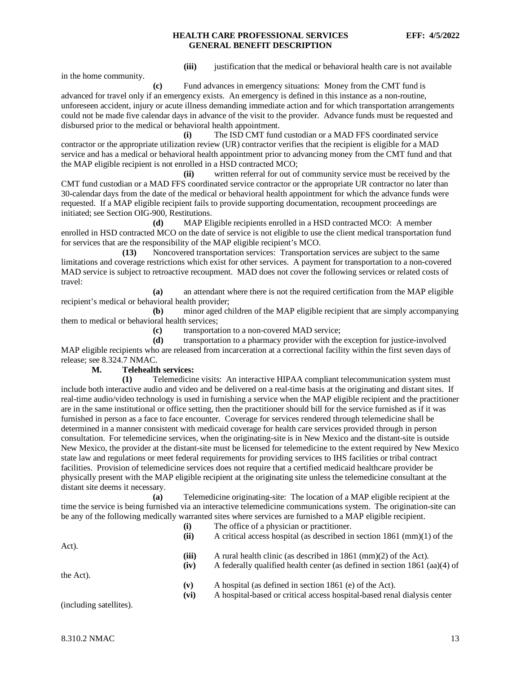in the home community.

**(iii)** justification that the medical or behavioral health care is not available

**(c)** Fund advances in emergency situations: Money from the CMT fund is advanced for travel only if an emergency exists. An emergency is defined in this instance as a non-routine, unforeseen accident, injury or acute illness demanding immediate action and for which transportation arrangements could not be made five calendar days in advance of the visit to the provider. Advance funds must be requested and disbursed prior to the medical or behavioral health appointment.

**(i)** The ISD CMT fund custodian or a MAD FFS coordinated service contractor or the appropriate utilization review (UR) contractor verifies that the recipient is eligible for a MAD service and has a medical or behavioral health appointment prior to advancing money from the CMT fund and that the MAP eligible recipient is not enrolled in a HSD contracted MCO;

**(ii)** written referral for out of community service must be received by the CMT fund custodian or a MAD FFS coordinated service contractor or the appropriate UR contractor no later than 30-calendar days from the date of the medical or behavioral health appointment for which the advance funds were requested. If a MAP eligible recipient fails to provide supporting documentation, recoupment proceedings are initiated; see Section OIG-900, Restitutions.

**(d)** MAP Eligible recipients enrolled in a HSD contracted MCO: A member enrolled in HSD contracted MCO on the date of service is not eligible to use the client medical transportation fund for services that are the responsibility of the MAP eligible recipient's MCO.

**(13)** Noncovered transportation services: Transportation services are subject to the same limitations and coverage restrictions which exist for other services. A payment for transportation to a non-covered MAD service is subject to retroactive recoupment. MAD does not cover the following services or related costs of travel:

**(a)** an attendant where there is not the required certification from the MAP eligible recipient's medical or behavioral health provider;

**(b)** minor aged children of the MAP eligible recipient that are simply accompanying them to medical or behavioral health services;

**(c)** transportation to a non-covered MAD service;

**(d)** transportation to a pharmacy provider with the exception for justice-involved MAP eligible recipients who are released from incarceration at a correctional facility within the first seven days of release; see 8.324.7 NMAC.

## **M. Telehealth services:**

**(1)** Telemedicine visits: An interactive HIPAA compliant telecommunication system must include both interactive audio and video and be delivered on a real-time basis at the originating and distant sites. If real-time audio/video technology is used in furnishing a service when the MAP eligible recipient and the practitioner are in the same institutional or office setting, then the practitioner should bill for the service furnished as if it was furnished in person as a face to face encounter. Coverage for services rendered through telemedicine shall be determined in a manner consistent with medicaid coverage for health care services provided through in person consultation. For telemedicine services, when the originating-site is in New Mexico and the distant-site is outside New Mexico, the provider at the distant-site must be licensed for telemedicine to the extent required by New Mexico state law and regulations or meet federal requirements for providing services to IHS facilities or tribal contract facilities. Provision of telemedicine services does not require that a certified medicaid healthcare provider be physically present with the MAP eligible recipient at the originating site unless the telemedicine consultant at the distant site deems it necessary.

**(a)** Telemedicine originating-site: The location of a MAP eligible recipient at the time the service is being furnished via an interactive telemedicine communications system. The origination-site can be any of the following medically warranted sites where services are furnished to a MAP eligible recipient.

|                         | (i)            | The office of a physician or practitioner.                                          |
|-------------------------|----------------|-------------------------------------------------------------------------------------|
|                         | (ii)           | A critical access hospital (as described in section $1861 \, \text{(mm)}(1)$ of the |
| Act).                   |                |                                                                                     |
|                         | (iii)          | A rural health clinic (as described in $1861 \, \text{(mm)}(2)$ of the Act).        |
|                         | (iv)           | A federally qualified health center (as defined in section 1861 (aa)(4) of          |
| the Act).               |                |                                                                                     |
|                         | $(\mathbf{v})$ | A hospital (as defined in section 1861 (e) of the Act).                             |
|                         | (vi)           | A hospital-based or critical access hospital-based renal dialysis center            |
| (including satellites). |                |                                                                                     |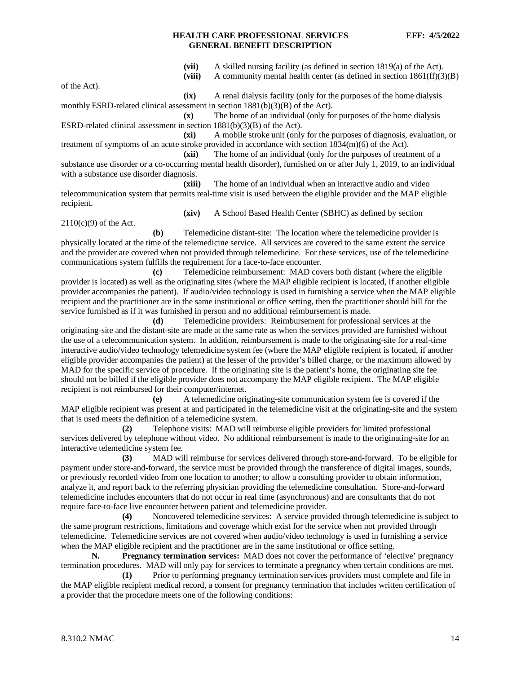**(vii)** A skilled nursing facility (as defined in section 1819(a) of the Act).

**(viii)** A community mental health center (as defined in section 1861(ff)(3)(B)

of the Act).

2110(c)(9) of the Act.

**(ix)** A renal dialysis facility (only for the purposes of the home dialysis monthly ESRD-related clinical assessment in section 1881(b)(3)(B) of the Act).

**(x)** The home of an individual (only for purposes of the home dialysis ESRD-related clinical assessment in section 1881(b)(3)(B) of the Act).

**(xi)** A mobile stroke unit (only for the purposes of diagnosis, evaluation, or treatment of symptoms of an acute stroke provided in accordance with section 1834(m)(6) of the Act).

**(xii)** The home of an individual (only for the purposes of treatment of a substance use disorder or a co-occurring mental health disorder), furnished on or after July 1, 2019, to an individual with a substance use disorder diagnosis.

**(xiii)** The home of an individual when an interactive audio and video telecommunication system that permits real-time visit is used between the eligible provider and the MAP eligible recipient.

**(xiv)** A School Based Health Center (SBHC) as defined by section

**(b)** Telemedicine distant-site: The location where the telemedicine provider is physically located at the time of the telemedicine service. All services are covered to the same extent the service and the provider are covered when not provided through telemedicine. For these services, use of the telemedicine communications system fulfills the requirement for a face-to-face encounter.

**(c)** Telemedicine reimbursement: MAD covers both distant (where the eligible provider is located) as well as the originating sites (where the MAP eligible recipient is located, if another eligible provider accompanies the patient). If audio/video technology is used in furnishing a service when the MAP eligible recipient and the practitioner are in the same institutional or office setting, then the practitioner should bill for the service furnished as if it was furnished in person and no additional reimbursement is made.

**(d)** Telemedicine providers: Reimbursement for professional services at the originating-site and the distant-site are made at the same rate as when the services provided are furnished without the use of a telecommunication system. In addition, reimbursement is made to the originating-site for a real-time interactive audio/video technology telemedicine system fee (where the MAP eligible recipient is located, if another eligible provider accompanies the patient) at the lesser of the provider's billed charge, or the maximum allowed by MAD for the specific service of procedure. If the originating site is the patient's home, the originating site fee should not be billed if the eligible provider does not accompany the MAP eligible recipient. The MAP eligible recipient is not reimbursed for their computer/internet.

**(e)** A telemedicine originating-site communication system fee is covered if the MAP eligible recipient was present at and participated in the telemedicine visit at the originating-site and the system that is used meets the definition of a telemedicine system.

**(2)** Telephone visits: MAD will reimburse eligible providers for limited professional services delivered by telephone without video. No additional reimbursement is made to the originating-site for an interactive telemedicine system fee.

**(3)** MAD will reimburse for services delivered through store-and-forward. To be eligible for payment under store-and-forward, the service must be provided through the transference of digital images, sounds, or previously recorded video from one location to another; to allow a consulting provider to obtain information, analyze it, and report back to the referring physician providing the telemedicine consultation. Store-and-forward telemedicine includes encounters that do not occur in real time (asynchronous) and are consultants that do not require face-to-face live encounter between patient and telemedicine provider.

**(4)** Noncovered telemedicine services: A service provided through telemedicine is subject to the same program restrictions, limitations and coverage which exist for the service when not provided through telemedicine. Telemedicine services are not covered when audio/video technology is used in furnishing a service when the MAP eligible recipient and the practitioner are in the same institutional or office setting.

**N. Pregnancy termination services:** MAD does not cover the performance of 'elective' pregnancy termination procedures. MAD will only pay for services to terminate a pregnancy when certain conditions are met.

**(1)** Prior to performing pregnancy termination services providers must complete and file in the MAP eligible recipient medical record, a consent for pregnancy termination that includes written certification of a provider that the procedure meets one of the following conditions: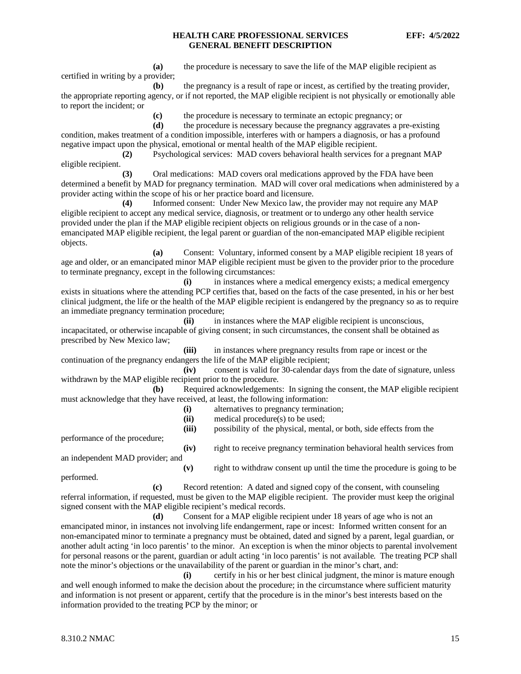**(a)** the procedure is necessary to save the life of the MAP eligible recipient as certified in writing by a provider;

**(b)** the pregnancy is a result of rape or incest, as certified by the treating provider, the appropriate reporting agency, or if not reported, the MAP eligible recipient is not physically or emotionally able to report the incident; or

**(c)** the procedure is necessary to terminate an ectopic pregnancy; or

**(d)** the procedure is necessary because the pregnancy aggravates a pre-existing condition, makes treatment of a condition impossible, interferes with or hampers a diagnosis, or has a profound negative impact upon the physical, emotional or mental health of the MAP eligible recipient.

**(2)** Psychological services: MAD covers behavioral health services for a pregnant MAP eligible recipient.

**(3)** Oral medications: MAD covers oral medications approved by the FDA have been determined a benefit by MAD for pregnancy termination. MAD will cover oral medications when administered by a provider acting within the scope of his or her practice board and licensure.

**(4)** Informed consent: Under New Mexico law, the provider may not require any MAP eligible recipient to accept any medical service, diagnosis, or treatment or to undergo any other health service provided under the plan if the MAP eligible recipient objects on religious grounds or in the case of a nonemancipated MAP eligible recipient, the legal parent or guardian of the non-emancipated MAP eligible recipient objects.

**(a)** Consent: Voluntary, informed consent by a MAP eligible recipient 18 years of age and older, or an emancipated minor MAP eligible recipient must be given to the provider prior to the procedure to terminate pregnancy, except in the following circumstances:

**(i)** in instances where a medical emergency exists; a medical emergency exists in situations where the attending PCP certifies that, based on the facts of the case presented, in his or her best clinical judgment, the life or the health of the MAP eligible recipient is endangered by the pregnancy so as to require an immediate pregnancy termination procedure;

**(ii)** in instances where the MAP eligible recipient is unconscious, incapacitated, or otherwise incapable of giving consent; in such circumstances, the consent shall be obtained as prescribed by New Mexico law;

**(iii)** in instances where pregnancy results from rape or incest or the continuation of the pregnancy endangers the life of the MAP eligible recipient;

**(iv)** consent is valid for 30-calendar days from the date of signature, unless withdrawn by the MAP eligible recipient prior to the procedure.

**(b)** Required acknowledgements: In signing the consent, the MAP eligible recipient must acknowledge that they have received, at least, the following information:

- **(i)** alternatives to pregnancy termination;
- **(ii)** medical procedure(s) to be used;

**(iii)** possibility of the physical, mental, or both, side effects from the performance of the procedure;

**(iv)** right to receive pregnancy termination behavioral health services from an independent MAD provider; and

performed.

**(v)** right to withdraw consent up until the time the procedure is going to be

**(c)** Record retention: A dated and signed copy of the consent, with counseling referral information, if requested, must be given to the MAP eligible recipient. The provider must keep the original signed consent with the MAP eligible recipient's medical records.

**(d)** Consent for a MAP eligible recipient under 18 years of age who is not an emancipated minor, in instances not involving life endangerment, rape or incest: Informed written consent for an non-emancipated minor to terminate a pregnancy must be obtained, dated and signed by a parent, legal guardian, or another adult acting 'in loco parentis' to the minor. An exception is when the minor objects to parental involvement for personal reasons or the parent, guardian or adult acting 'in loco parentis' is not available. The treating PCP shall note the minor's objections or the unavailability of the parent or guardian in the minor's chart, and:

**(i)** certify in his or her best clinical judgment, the minor is mature enough and well enough informed to make the decision about the procedure; in the circumstance where sufficient maturity and information is not present or apparent, certify that the procedure is in the minor's best interests based on the information provided to the treating PCP by the minor; or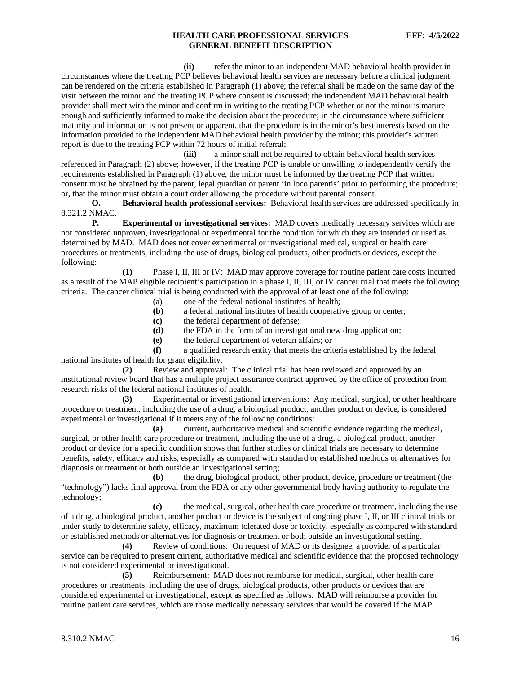**(ii)** refer the minor to an independent MAD behavioral health provider in circumstances where the treating PCP believes behavioral health services are necessary before a clinical judgment can be rendered on the criteria established in Paragraph (1) above; the referral shall be made on the same day of the visit between the minor and the treating PCP where consent is discussed; the independent MAD behavioral health provider shall meet with the minor and confirm in writing to the treating PCP whether or not the minor is mature enough and sufficiently informed to make the decision about the procedure; in the circumstance where sufficient maturity and information is not present or apparent, that the procedure is in the minor's best interests based on the information provided to the independent MAD behavioral health provider by the minor; this provider's written report is due to the treating PCP within 72 hours of initial referral;

**(iii)** a minor shall not be required to obtain behavioral health services referenced in Paragraph (2) above; however, if the treating PCP is unable or unwilling to independently certify the requirements established in Paragraph (1) above, the minor must be informed by the treating PCP that written consent must be obtained by the parent, legal guardian or parent 'in loco parentis' prior to performing the procedure; or, that the minor must obtain a court order allowing the procedure without parental consent.

**O. Behavioral health professional services:** Behavioral health services are addressed specifically in 8.321.2 NMAC*.*

**P. Experimental or investigational services:** MAD covers medically necessary services which are not considered unproven, investigational or experimental for the condition for which they are intended or used as determined by MAD. MAD does not cover experimental or investigational medical, surgical or health care procedures or treatments, including the use of drugs, biological products, other products or devices, except the following:

**(1)** Phase I, II, III or IV: MAD may approve coverage for routine patient care costs incurred as a result of the MAP eligible recipient's participation in a phase I, II, III, or IV cancer trial that meets the following criteria. The cancer clinical trial is being conducted with the approval of at least one of the following:

- (a) one of the federal national institutes of health;
- **(b)** a federal national institutes of health cooperative group or center;
- **(c)** the federal department of defense;
- **(d)** the FDA in the form of an investigational new drug application;
- **(e)** the federal department of veteran affairs; or

**(f)** a qualified research entity that meets the criteria established by the federal national institutes of health for grant eligibility.

**(2)** Review and approval: The clinical trial has been reviewed and approved by an institutional review board that has a multiple project assurance contract approved by the office of protection from research risks of the federal national institutes of health.

**(3)** Experimental or investigational interventions: Any medical, surgical, or other healthcare procedure or treatment, including the use of a drug, a biological product, another product or device, is considered experimental or investigational if it meets any of the following conditions:

**(a)** current, authoritative medical and scientific evidence regarding the medical, surgical, or other health care procedure or treatment, including the use of a drug, a biological product, another product or device for a specific condition shows that further studies or clinical trials are necessary to determine benefits, safety, efficacy and risks, especially as compared with standard or established methods or alternatives for diagnosis or treatment or both outside an investigational setting;<br>(b) the drug, biological product,

**(b)** the drug, biological product, other product, device, procedure or treatment (the "technology") lacks final approval from the FDA or any other governmental body having authority to regulate the technology;

**(c)** the medical, surgical, other health care procedure or treatment, including the use of a drug, a biological product, another product or device is the subject of ongoing phase I, II, or III clinical trials or under study to determine safety, efficacy, maximum tolerated dose or toxicity, especially as compared with standard or established methods or alternatives for diagnosis or treatment or both outside an investigational setting.

**(4)** Review of conditions: On request of MAD or its designee, a provider of a particular service can be required to present current, authoritative medical and scientific evidence that the proposed technology is not considered experimental or investigational.

**(5)** Reimbursement: MAD does not reimburse for medical, surgical, other health care procedures or treatments, including the use of drugs, biological products, other products or devices that are considered experimental or investigational, except as specified as follows. MAD will reimburse a provider for routine patient care services, which are those medically necessary services that would be covered if the MAP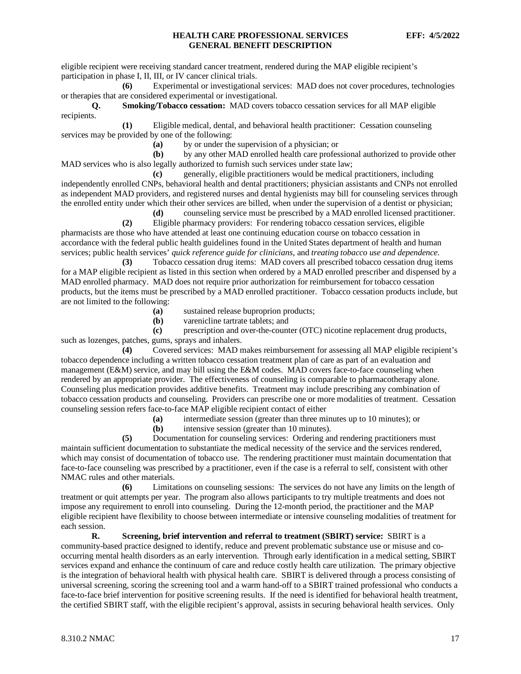eligible recipient were receiving standard cancer treatment, rendered during the MAP eligible recipient's participation in phase I, II, III, or IV cancer clinical trials.

**(6)** Experimental or investigational services: MAD does not cover procedures, technologies or therapies that are considered experimental or investigational*.*

**Q. Smoking/Tobacco cessation:** MAD covers tobacco cessation services for all MAP eligible recipients.

**(1)** Eligible medical, dental, and behavioral health practitioner: Cessation counseling services may be provided by one of the following:<br>(a) by or under the

**(a)** by or under the supervision of a physician; or **(b)** by any other MAD enrolled health care profes

**(b)** by any other MAD enrolled health care professional authorized to provide other MAD services who is also legally authorized to furnish such services under state law;

**(c)** generally, eligible practitioners would be medical practitioners, including independently enrolled CNPs, behavioral health and dental practitioners; physician assistants and CNPs not enrolled as independent MAD providers, and registered nurses and dental hygienists may bill for counseling services through the enrolled entity under which their other services are billed, when under the supervision of a dentist or physician;

**(d)** counseling service must be prescribed by a MAD enrolled licensed practitioner.

**(2)** Eligible pharmacy providers: For rendering tobacco cessation services, eligible pharmacists are those who have attended at least one continuing education course on tobacco cessation in accordance with the federal public health guidelines found in the United States department of health and human services; public health services' *quick reference guide for clinicians*, and *treating tobacco use and dependence*.

**(3)** Tobacco cessation drug items: MAD covers all prescribed tobacco cessation drug items for a MAP eligible recipient as listed in this section when ordered by a MAD enrolled prescriber and dispensed by a MAD enrolled pharmacy. MAD does not require prior authorization for reimbursement for tobacco cessation products, but the items must be prescribed by a MAD enrolled practitioner. Tobacco cessation products include, but are not limited to the following:

- **(a)** sustained release buproprion products;
- **(b)** varenicline tartrate tablets; and

**(c)** prescription and over-the-counter (OTC) nicotine replacement drug products, such as lozenges, patches, gums, sprays and inhalers.

**(4)** Covered services: MAD makes reimbursement for assessing all MAP eligible recipient's tobacco dependence including a written tobacco cessation treatment plan of care as part of an evaluation and management (E&M) service, and may bill using the E&M codes. MAD covers face-to-face counseling when rendered by an appropriate provider. The effectiveness of counseling is comparable to pharmacotherapy alone. Counseling plus medication provides additive benefits. Treatment may include prescribing any combination of tobacco cessation products and counseling. Providers can prescribe one or more modalities of treatment. Cessation counseling session refers face-to-face MAP eligible recipient contact of either

**(a)** intermediate session (greater than three minutes up to 10 minutes); or

**(b)** intensive session (greater than 10 minutes).

**(5)** Documentation for counseling services: Ordering and rendering practitioners must maintain sufficient documentation to substantiate the medical necessity of the service and the services rendered, which may consist of documentation of tobacco use. The rendering practitioner must maintain documentation that face-to-face counseling was prescribed by a practitioner, even if the case is a referral to self, consistent with other NMAC rules and other materials.

**(6)** Limitations on counseling sessions: The services do not have any limits on the length of treatment or quit attempts per year. The program also allows participants to try multiple treatments and does not impose any requirement to enroll into counseling. During the 12-month period, the practitioner and the MAP eligible recipient have flexibility to choose between intermediate or intensive counseling modalities of treatment for each session.

**R. Screening, brief intervention and referral to treatment (SBIRT) service:** SBIRT is a community-based practice designed to identify, reduce and prevent problematic substance use or misuse and cooccurring mental health disorders as an early intervention. Through early identification in a medical setting, SBIRT services expand and enhance the continuum of care and reduce costly health care utilization. The primary objective is the integration of behavioral health with physical health care. SBIRT is delivered through a process consisting of universal screening, scoring the screening tool and a warm hand-off to a SBIRT trained professional who conducts a face-to-face brief intervention for positive screening results. If the need is identified for behavioral health treatment, the certified SBIRT staff, with the eligible recipient's approval, assists in securing behavioral health services. Only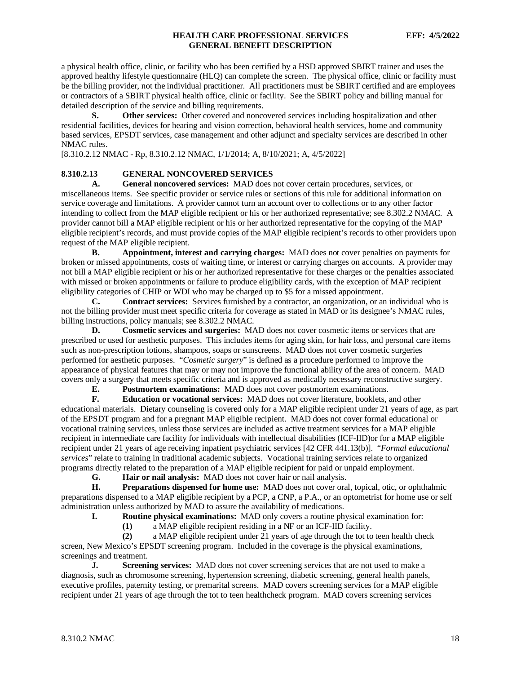a physical health office, clinic, or facility who has been certified by a HSD approved SBIRT trainer and uses the approved healthy lifestyle questionnaire (HLQ) can complete the screen. The physical office, clinic or facility must be the billing provider, not the individual practitioner. All practitioners must be SBIRT certified and are employees or contractors of a SBIRT physical health office, clinic or facility. See the SBIRT policy and billing manual for detailed description of the service and billing requirements.

**S. Other services:** Other covered and noncovered services including hospitalization and other residential facilities, devices for hearing and vision correction, behavioral health services, home and community based services, EPSDT services, case management and other adjunct and specialty services are described in other NMAC rules.

[8.310.2.12 NMAC - Rp, 8.310.2.12 NMAC, 1/1/2014; A, 8/10/2021; A, 4/5/2022]

## <span id="page-18-0"></span>**8.310.2.13 GENERAL NONCOVERED SERVICES**

**A. General noncovered services:** MAD does not cover certain procedures, services, or miscellaneous items. See specific provider or service rules or sections of this rule for additional information on service coverage and limitations. A provider cannot turn an account over to collections or to any other factor intending to collect from the MAP eligible recipient or his or her authorized representative; see 8.302.2 NMAC*.* A provider cannot bill a MAP eligible recipient or his or her authorized representative for the copying of the MAP eligible recipient's records, and must provide copies of the MAP eligible recipient's records to other providers upon request of the MAP eligible recipient.

**B. Appointment, interest and carrying charges:** MAD does not cover penalties on payments for broken or missed appointments, costs of waiting time, or interest or carrying charges on accounts. A provider may not bill a MAP eligible recipient or his or her authorized representative for these charges or the penalties associated with missed or broken appointments or failure to produce eligibility cards, with the exception of MAP recipient eligibility categories of CHIP or WDI who may be charged up to \$5 for a missed appointment.

**C. Contract services:** Services furnished by a contractor, an organization, or an individual who is not the billing provider must meet specific criteria for coverage as stated in MAD or its designee's NMAC rules, billing instructions, policy manuals; see 8.302.2 NMAC.

**D. Cosmetic services and surgeries:** MAD does not cover cosmetic items or services that are prescribed or used for aesthetic purposes. This includes items for aging skin, for hair loss, and personal care items such as non-prescription lotions, shampoos, soaps or sunscreens. MAD does not cover cosmetic surgeries performed for aesthetic purposes. "*Cosmetic surgery*" is defined as a procedure performed to improve the appearance of physical features that may or may not improve the functional ability of the area of concern. MAD covers only a surgery that meets specific criteria and is approved as medically necessary reconstructive surgery.

**E. Postmortem examinations:** MAD does not cover postmortem examinations.<br>**F. Education or vocational services:** MAD does not cover literature, booklets.

**F. Education or vocational services:** MAD does not cover literature, booklets, and other educational materials. Dietary counseling is covered only for a MAP eligible recipient under 21 years of age, as part of the EPSDT program and for a pregnant MAP eligible recipient. MAD does not cover formal educational or vocational training services, unless those services are included as active treatment services for a MAP eligible recipient in intermediate care facility for individuals with intellectual disabilities (ICF-IID)or for a MAP eligible recipient under 21 years of age receiving inpatient psychiatric services [42 CFR 441.13(b)]. "*Formal educational services*" relate to training in traditional academic subjects. Vocational training services relate to organized programs directly related to the preparation of a MAP eligible recipient for paid or unpaid employment.<br> **G.** Hair or nail analysis: MAD does not cover hair or nail analysis.

**G. Hair or nail analysis:** MAD does not cover hair or nail analysis.<br>**H. Preparations dispensed for home use:** MAD does not cover ora

**H. Preparations dispensed for home use:** MAD does not cover oral, topical, otic, or ophthalmic preparations dispensed to a MAP eligible recipient by a PCP, a CNP, a P.A., or an optometrist for home use or self administration unless authorized by MAD to assure the availability of medications.

**I. Routine physical examinations:** MAD only covers a routine physical examination for:

**(1)** a MAP eligible recipient residing in a NF or an ICF-IID facility.

**(2)** a MAP eligible recipient under 21 years of age through the tot to teen health check screen, New Mexico's EPSDT screening program. Included in the coverage is the physical examinations, screenings and treatment.

**J. Screening services:** MAD does not cover screening services that are not used to make a diagnosis, such as chromosome screening, hypertension screening, diabetic screening, general health panels, executive profiles, paternity testing, or premarital screens. MAD covers screening services for a MAP eligible recipient under 21 years of age through the tot to teen healthcheck program. MAD covers screening services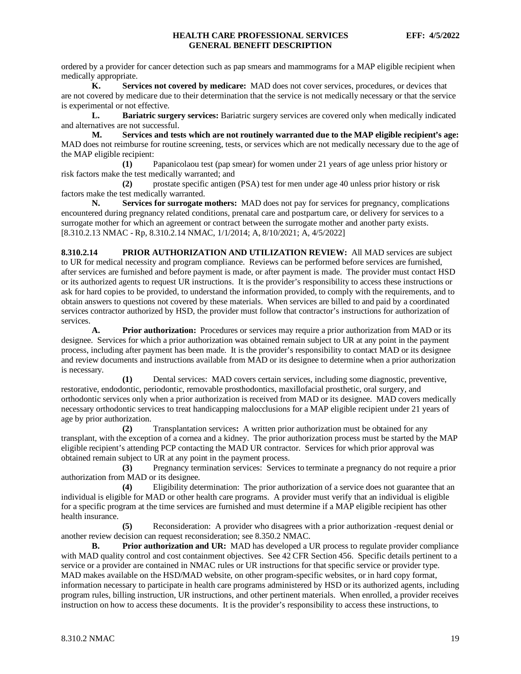ordered by a provider for cancer detection such as pap smears and mammograms for a MAP eligible recipient when medically appropriate.

**K. Services not covered by medicare:** MAD does not cover services, procedures, or devices that are not covered by medicare due to their determination that the service is not medically necessary or that the service is experimental or not effective.

**L. Bariatric surgery services:** Bariatric surgery services are covered only when medically indicated and alternatives are not successful.

**M. Services and tests which are not routinely warranted due to the MAP eligible recipient's age:** MAD does not reimburse for routine screening, tests, or services which are not medically necessary due to the age of the MAP eligible recipient:

**(1)** Papanicolaou test (pap smear) for women under 21 years of age unless prior history or risk factors make the test medically warranted; and

**(2)** prostate specific antigen (PSA) test for men under age 40 unless prior history or risk factors make the test medically warranted.

**N. Services for surrogate mothers:** MAD does not pay for services for pregnancy, complications encountered during pregnancy related conditions, prenatal care and postpartum care, or delivery for services to a surrogate mother for which an agreement or contract between the surrogate mother and another party exists. [8.310.2.13 NMAC - Rp, 8.310.2.14 NMAC, 1/1/2014; A, 8/10/2021; A, 4/5/2022]

<span id="page-19-0"></span>**8.310.2.14 PRIOR AUTHORIZATION AND UTILIZATION REVIEW:** All MAD services are subject to UR for medical necessity and program compliance. Reviews can be performed before services are furnished, after services are furnished and before payment is made, or after payment is made. The provider must contact HSD or its authorized agents to request UR instructions. It is the provider's responsibility to access these instructions or ask for hard copies to be provided, to understand the information provided, to comply with the requirements, and to obtain answers to questions not covered by these materials. When services are billed to and paid by a coordinated services contractor authorized by HSD, the provider must follow that contractor's instructions for authorization of services.

**A. Prior authorization:** Procedures or services may require a prior authorization from MAD or its designee. Services for which a prior authorization was obtained remain subject to UR at any point in the payment process, including after payment has been made. It is the provider's responsibility to contact MAD or its designee and review documents and instructions available from MAD or its designee to determine when a prior authorization is necessary*.*

**(1)** Dental services: MAD covers certain services, including some diagnostic, preventive, restorative, endodontic, periodontic, removable prosthodontics, maxillofacial prosthetic, oral surgery, and orthodontic services only when a prior authorization is received from MAD or its designee. MAD covers medically necessary orthodontic services to treat handicapping malocclusions for a MAP eligible recipient under 21 years of age by prior authorization.

**(2)** Transplantation services**:** A written prior authorization must be obtained for any transplant, with the exception of a cornea and a kidney. The prior authorization process must be started by the MAP eligible recipient's attending PCP contacting the MAD UR contractor. Services for which prior approval was obtained remain subject to UR at any point in the payment process.

**(3)** Pregnancy termination services: Services to terminate a pregnancy do not require a prior authorization from MAD or its designee.

**(4)** Eligibility determination: The prior authorization of a service does not guarantee that an individual is eligible for MAD or other health care programs. A provider must verify that an individual is eligible for a specific program at the time services are furnished and must determine if a MAP eligible recipient has other health insurance.

**(5)** Reconsideration: A provider who disagrees with a prior authorization -request denial or another review decision can request reconsideration; see 8.350.2 NMAC*.*

**Prior authorization and UR:** MAD has developed a UR process to regulate provider compliance with MAD quality control and cost containment objectives. See 42 CFR Section 456. Specific details pertinent to a service or a provider are contained in NMAC rules or UR instructions for that specific service or provider type. MAD makes available on the HSD/MAD website, on other program-specific websites, or in hard copy format, information necessary to participate in health care programs administered by HSD or its authorized agents, including program rules, billing instruction, UR instructions, and other pertinent materials. When enrolled, a provider receives instruction on how to access these documents. It is the provider's responsibility to access these instructions, to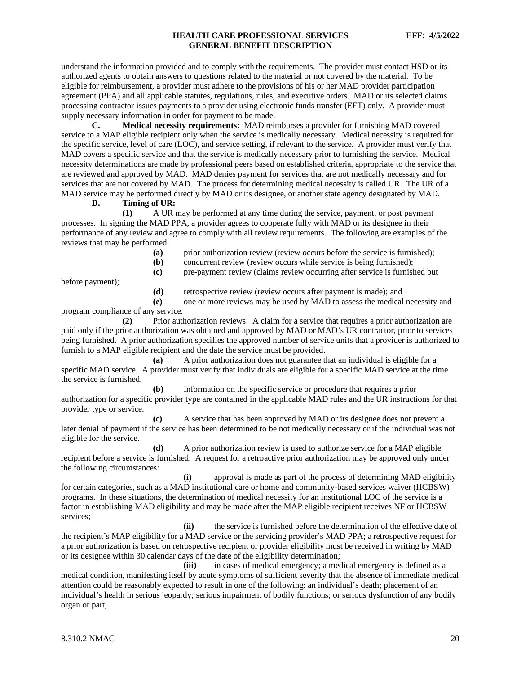understand the information provided and to comply with the requirements. The provider must contact HSD or its authorized agents to obtain answers to questions related to the material or not covered by the material. To be eligible for reimbursement, a provider must adhere to the provisions of his or her MAD provider participation agreement (PPA) and all applicable statutes, regulations, rules, and executive orders. MAD or its selected claims processing contractor issues payments to a provider using electronic funds transfer (EFT) only. A provider must supply necessary information in order for payment to be made.

**C. Medical necessity requirements:** MAD reimburses a provider for furnishing MAD covered service to a MAP eligible recipient only when the service is medically necessary. Medical necessity is required for the specific service, level of care (LOC), and service setting, if relevant to the service. A provider must verify that MAD covers a specific service and that the service is medically necessary prior to furnishing the service. Medical necessity determinations are made by professional peers based on established criteria, appropriate to the service that are reviewed and approved by MAD. MAD denies payment for services that are not medically necessary and for services that are not covered by MAD. The process for determining medical necessity is called UR. The UR of a MAD service may be performed directly by MAD or its designee, or another state agency designated by MAD.

#### **D. Timing of UR:**

**(1)** A UR may be performed at any time during the service, payment, or post payment processes. In signing the MAD PPA, a provider agrees to cooperate fully with MAD or its designee in their performance of any review and agree to comply with all review requirements. The following are examples of the reviews that may be performed:

**(a)** prior authorization review (review occurs before the service is furnished);

**(c)** pre-payment review (claims review occurring after service is furnished but

**(b)** concurrent review (review occurs while service is being furnished);

before payment);

**(d)** retrospective review (review occurs after payment is made); and

**(e)** one or more reviews may be used by MAD to assess the medical necessity and program compliance of any service.

**(2)** Prior authorization reviews: A claim for a service that requires a prior authorization are paid only if the prior authorization was obtained and approved by MAD or MAD's UR contractor, prior to services being furnished. A prior authorization specifies the approved number of service units that a provider is authorized to furnish to a MAP eligible recipient and the date the service must be provided.

**(a)** A prior authorization does not guarantee that an individual is eligible for a specific MAD service. A provider must verify that individuals are eligible for a specific MAD service at the time the service is furnished.

**(b)** Information on the specific service or procedure that requires a prior authorization for a specific provider type are contained in the applicable MAD rules and the UR instructions for that provider type or service.

**(c)** A service that has been approved by MAD or its designee does not prevent a later denial of payment if the service has been determined to be not medically necessary or if the individual was not eligible for the service.

**(d)** A prior authorization review is used to authorize service for a MAP eligible recipient before a service is furnished. A request for a retroactive prior authorization may be approved only under the following circumstances:

**(i)** approval is made as part of the process of determining MAD eligibility for certain categories, such as a MAD institutional care or home and community-based services waiver (HCBSW) programs. In these situations, the determination of medical necessity for an institutional LOC of the service is a factor in establishing MAD eligibility and may be made after the MAP eligible recipient receives NF or HCBSW services;

**(ii)** the service is furnished before the determination of the effective date of the recipient's MAP eligibility for a MAD service or the servicing provider's MAD PPA; a retrospective request for a prior authorization is based on retrospective recipient or provider eligibility must be received in writing by MAD or its designee within 30 calendar days of the date of the eligibility determination;

**(iii)** in cases of medical emergency; a medical emergency is defined as a medical condition, manifesting itself by acute symptoms of sufficient severity that the absence of immediate medical attention could be reasonably expected to result in one of the following: an individual's death; placement of an individual's health in serious jeopardy; serious impairment of bodily functions; or serious dysfunction of any bodily organ or part;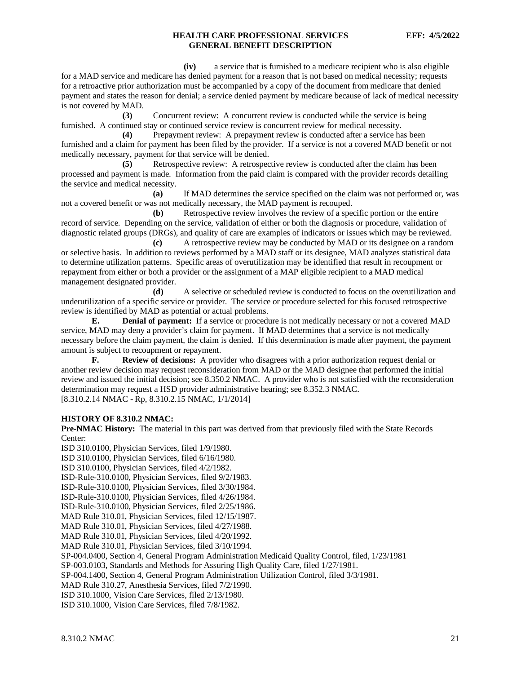**(iv)** a service that is furnished to a medicare recipient who is also eligible for a MAD service and medicare has denied payment for a reason that is not based on medical necessity; requests for a retroactive prior authorization must be accompanied by a copy of the document from medicare that denied payment and states the reason for denial; a service denied payment by medicare because of lack of medical necessity is not covered by MAD.

**(3)** Concurrent review: A concurrent review is conducted while the service is being furnished. A continued stay or continued service review is concurrent review for medical necessity.

**(4)** Prepayment review: A prepayment review is conducted after a service has been furnished and a claim for payment has been filed by the provider. If a service is not a covered MAD benefit or not medically necessary, payment for that service will be denied.

**(5)** Retrospective review: A retrospective review is conducted after the claim has been processed and payment is made. Information from the paid claim is compared with the provider records detailing the service and medical necessity.

**(a)** If MAD determines the service specified on the claim was not performed or, was not a covered benefit or was not medically necessary, the MAD payment is recouped.

**(b)** Retrospective review involves the review of a specific portion or the entire record of service. Depending on the service, validation of either or both the diagnosis or procedure, validation of diagnostic related groups (DRGs), and quality of care are examples of indicators or issues which may be reviewed.

**(c)** A retrospective review may be conducted by MAD or its designee on a random or selective basis. In addition to reviews performed by a MAD staff or its designee, MAD analyzes statistical data to determine utilization patterns. Specific areas of overutilization may be identified that result in recoupment or repayment from either or both a provider or the assignment of a MAP eligible recipient to a MAD medical management designated provider.

**(d)** A selective or scheduled review is conducted to focus on the overutilization and underutilization of a specific service or provider. The service or procedure selected for this focused retrospective review is identified by MAD as potential or actual problems.

**E. Denial of payment:** If a service or procedure is not medically necessary or not a covered MAD service, MAD may deny a provider's claim for payment. If MAD determines that a service is not medically necessary before the claim payment, the claim is denied. If this determination is made after payment, the payment amount is subject to recoupment or repayment.

**F. Review of decisions:** A provider who disagrees with a prior authorization request denial or another review decision may request reconsideration from MAD or the MAD designee that performed the initial review and issued the initial decision; see 8.350.2 NMAC. A provider who is not satisfied with the reconsideration determination may request a HSD provider administrative hearing; see 8.352.3 NMAC. [8.310.2.14 NMAC - Rp, 8.310.2.15 NMAC, 1/1/2014]

#### **HISTORY OF 8.310.2 NMAC:**

**Pre-NMAC History:** The material in this part was derived from that previously filed with the State Records Center:

ISD 310.0100, Physician Services, filed 1/9/1980.

ISD 310.0100, Physician Services, filed 6/16/1980.

ISD 310.0100, Physician Services, filed 4/2/1982.

ISD-Rule-310.0100, Physician Services, filed 9/2/1983.

ISD-Rule-310.0100, Physician Services, filed 3/30/1984.

ISD-Rule-310.0100, Physician Services, filed 4/26/1984.

ISD-Rule-310.0100, Physician Services, filed 2/25/1986.

MAD Rule 310.01, Physician Services, filed 12/15/1987.

MAD Rule 310.01, Physician Services, filed 4/27/1988.

MAD Rule 310.01, Physician Services, filed 4/20/1992.

MAD Rule 310.01, Physician Services, filed 3/10/1994.

SP-004.0400, Section 4, General Program Administration Medicaid Quality Control, filed, 1/23/1981

SP-003.0103, Standards and Methods for Assuring High Quality Care, filed 1/27/1981.

SP-004.1400, Section 4, General Program Administration Utilization Control, filed 3/3/1981.

MAD Rule 310.27, Anesthesia Services, filed 7/2/1990.

ISD 310.1000, Vision Care Services, filed 2/13/1980.

ISD 310.1000, Vision Care Services, filed 7/8/1982.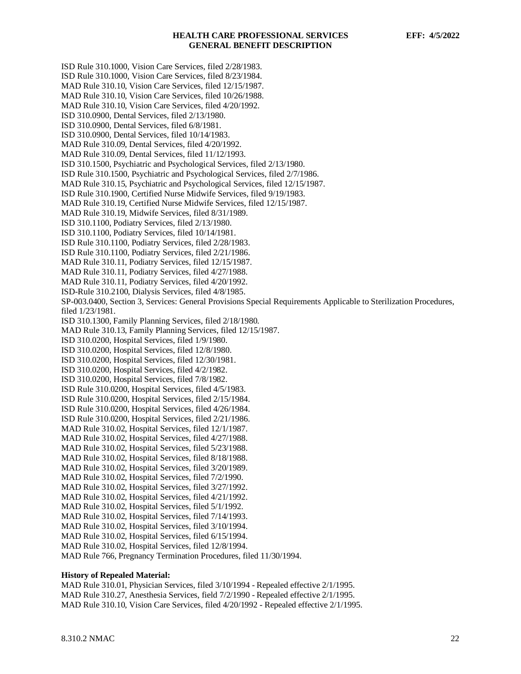ISD Rule 310.1000, Vision Care Services, filed 2/28/1983. ISD Rule 310.1000, Vision Care Services, filed 8/23/1984. MAD Rule 310.10, Vision Care Services, filed 12/15/1987. MAD Rule 310.10, Vision Care Services, filed 10/26/1988. MAD Rule 310.10, Vision Care Services, filed 4/20/1992. ISD 310.0900, Dental Services, filed 2/13/1980. ISD 310.0900, Dental Services, filed 6/8/1981. ISD 310.0900, Dental Services, filed 10/14/1983. MAD Rule 310.09, Dental Services, filed 4/20/1992. MAD Rule 310.09, Dental Services, filed 11/12/1993. ISD 310.1500, Psychiatric and Psychological Services, filed 2/13/1980. ISD Rule 310.1500, Psychiatric and Psychological Services, filed 2/7/1986. MAD Rule 310.15, Psychiatric and Psychological Services, filed 12/15/1987. ISD Rule 310.1900, Certified Nurse Midwife Services, filed 9/19/1983. MAD Rule 310.19, Certified Nurse Midwife Services, filed 12/15/1987. MAD Rule 310.19, Midwife Services, filed 8/31/1989. ISD 310.1100, Podiatry Services, filed 2/13/1980. ISD 310.1100, Podiatry Services, filed 10/14/1981. ISD Rule 310.1100, Podiatry Services, filed 2/28/1983. ISD Rule 310.1100, Podiatry Services, filed 2/21/1986. MAD Rule 310.11, Podiatry Services, filed 12/15/1987. MAD Rule 310.11, Podiatry Services, filed 4/27/1988. MAD Rule 310.11, Podiatry Services, filed 4/20/1992. ISD-Rule 310.2100, Dialysis Services, filed 4/8/1985. SP-003.0400, Section 3, Services: General Provisions Special Requirements Applicable to Sterilization Procedures, filed 1/23/1981. ISD 310.1300, Family Planning Services, filed 2/18/1980. MAD Rule 310.13, Family Planning Services, filed 12/15/1987. ISD 310.0200, Hospital Services, filed 1/9/1980. ISD 310.0200, Hospital Services, filed 12/8/1980. ISD 310.0200, Hospital Services, filed 12/30/1981. ISD 310.0200, Hospital Services, filed 4/2/1982. ISD 310.0200, Hospital Services, filed 7/8/1982. ISD Rule 310.0200, Hospital Services, filed 4/5/1983. ISD Rule 310.0200, Hospital Services, filed 2/15/1984. ISD Rule 310.0200, Hospital Services, filed 4/26/1984. ISD Rule 310.0200, Hospital Services, filed 2/21/1986. MAD Rule 310.02, Hospital Services, filed 12/1/1987. MAD Rule 310.02, Hospital Services, filed 4/27/1988. MAD Rule 310.02, Hospital Services, filed 5/23/1988. MAD Rule 310.02, Hospital Services, filed 8/18/1988. MAD Rule 310.02, Hospital Services, filed 3/20/1989. MAD Rule 310.02, Hospital Services, filed 7/2/1990. MAD Rule 310.02, Hospital Services, filed 3/27/1992. MAD Rule 310.02, Hospital Services, filed 4/21/1992. MAD Rule 310.02, Hospital Services, filed 5/1/1992. MAD Rule 310.02, Hospital Services, filed 7/14/1993. MAD Rule 310.02, Hospital Services, filed 3/10/1994. MAD Rule 310.02, Hospital Services, filed 6/15/1994. MAD Rule 310.02, Hospital Services, filed 12/8/1994. MAD Rule 766, Pregnancy Termination Procedures, filed 11/30/1994.

#### **History of Repealed Material:**

MAD Rule 310.01, Physician Services, filed 3/10/1994 - Repealed effective 2/1/1995. MAD Rule 310.27, Anesthesia Services, field 7/2/1990 - Repealed effective 2/1/1995. MAD Rule 310.10, Vision Care Services, filed 4/20/1992 - Repealed effective 2/1/1995.